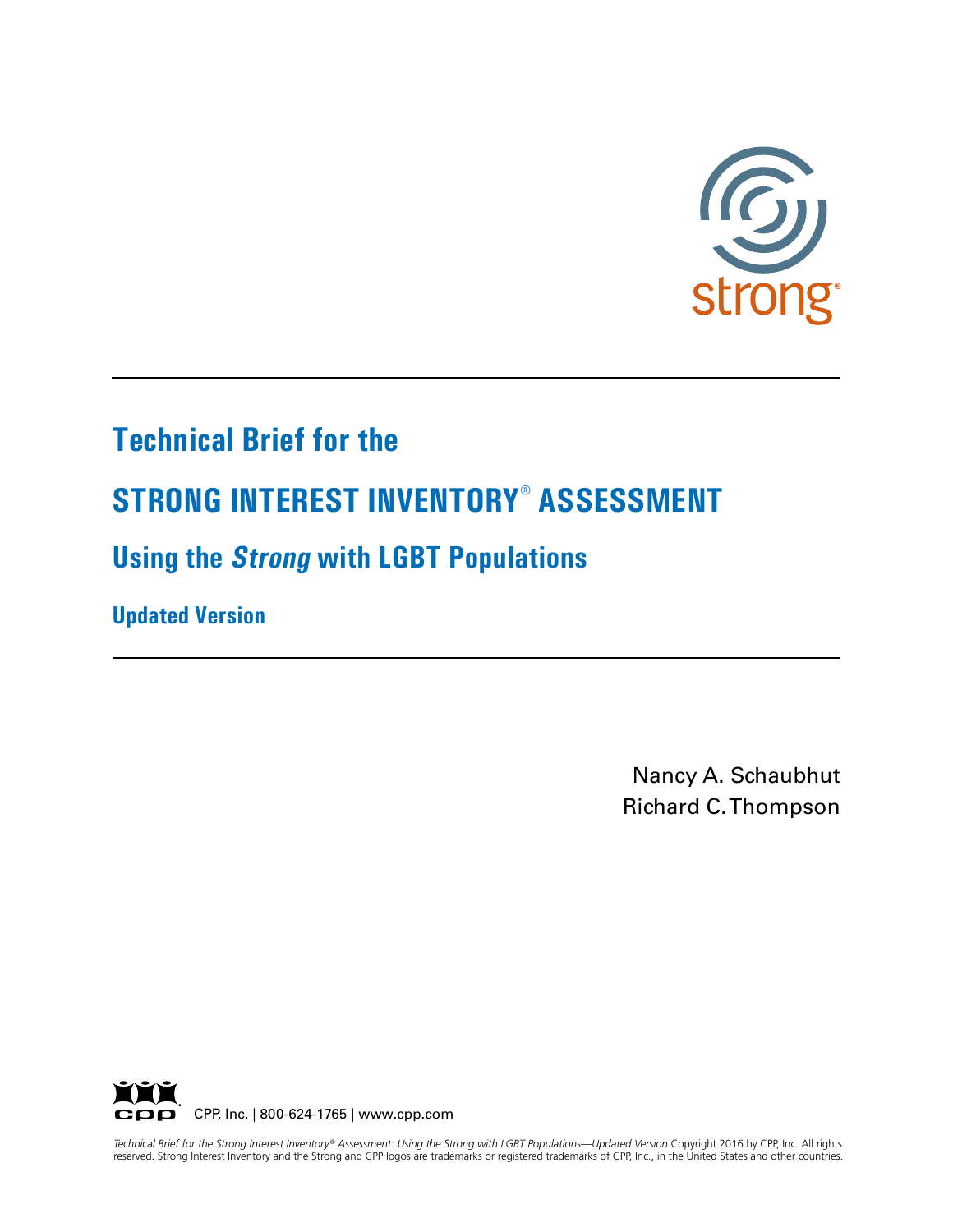

# **Technical Brief for the**

# **STRONG INTEREST INVENTORY® ASSESSMENT**

# **Using the Strong with LGBT Populations**

**Updated Version**

Nancy A. Schaubhut Richard C. Thompson



Technical Brief for the Strong Interest Inventory® Assessment: Using the Strong with LGBT Populations—Updated Version Copyright 2016 by CPP, Inc. All rights reserved. Strong Interest Inventory and the Strong and CPP logos are trademarks or registered trademarks of CPP, Inc., in the United States and other countries.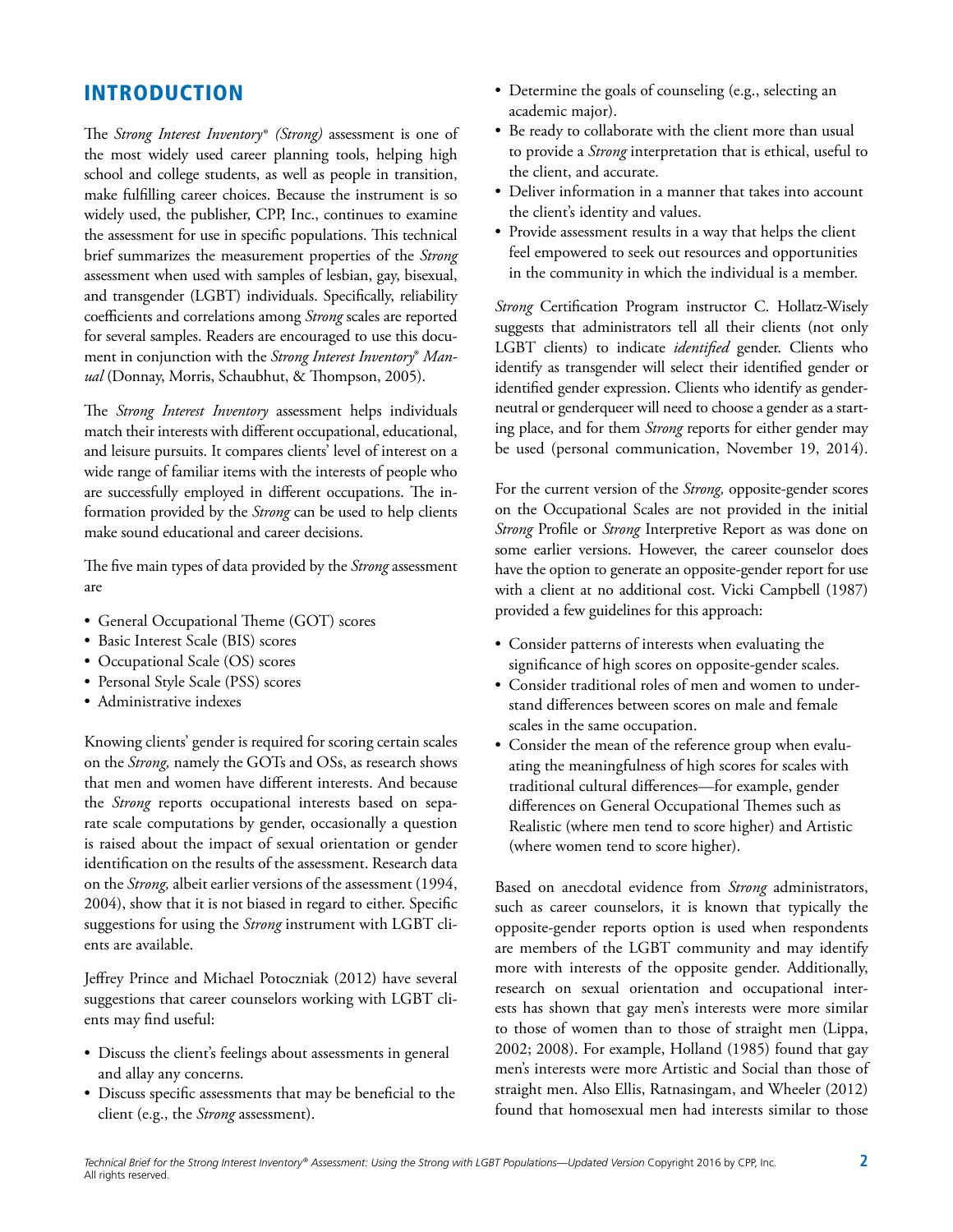## INTRODUCTION

The *Strong Interest Inventory*® *(Strong)* assessment is one of the most widely used career planning tools, helping high school and college students, as well as people in transition, make fulfilling career choices. Because the instrument is so widely used, the publisher, CPP, Inc., continues to examine the assessment for use in specific populations. This technical brief summarizes the measurement properties of the *Strong* assessment when used with samples of lesbian, gay, bisexual, and transgender (LGBT) individuals. Specifically, reliability coefficients and correlations among *Strong* scales are reported for several samples. Readers are encouraged to use this document in conjunction with the *Strong Interest Inventory*® *Manual* (Donnay, Morris, Schaubhut, & Thompson, 2005).

The *Strong Interest Inventory* assessment helps individuals match their interests with different occupational, educational, and leisure pursuits. It compares clients' level of interest on a wide range of familiar items with the interests of people who are successfully employed in different occupations. The information provided by the *Strong* can be used to help clients make sound educational and career decisions.

The five main types of data provided by the *Strong* assessment are

- General Occupational Theme (GOT) scores
- Basic Interest Scale (BIS) scores
- Occupational Scale (OS) scores
- Personal Style Scale (PSS) scores
- Administrative indexes

Knowing clients' gender is required for scoring certain scales on the *Strong,* namely the GOTs and OSs, as research shows that men and women have different interests. And because the *Strong* reports occupational interests based on separate scale computations by gender, occasionally a question is raised about the impact of sexual orientation or gender identification on the results of the assessment. Research data on the *Strong,* albeit earlier versions of the assessment (1994, 2004), show that it is not biased in regard to either. Specific suggestions for using the *Strong* instrument with LGBT clients are available.

Jeffrey Prince and Michael Potoczniak (2012) have several suggestions that career counselors working with LGBT clients may find useful:

- Discuss the client's feelings about assessments in general and allay any concerns.
- Discuss specific assessments that may be beneficial to the client (e.g., the *Strong* assessment).
- Determine the goals of counseling (e.g., selecting an academic major).
- Be ready to collaborate with the client more than usual to provide a *Strong* interpretation that is ethical, useful to the client, and accurate.
- Deliver information in a manner that takes into account the client's identity and values.
- Provide assessment results in a way that helps the client feel empowered to seek out resources and opportunities in the community in which the individual is a member.

*Strong* Certification Program instructor C. Hollatz-Wisely suggests that administrators tell all their clients (not only LGBT clients) to indicate *identified* gender. Clients who identify as transgender will select their identified gender or identified gender expression. Clients who identify as genderneutral or genderqueer will need to choose a gender as a starting place, and for them *Strong* reports for either gender may be used (personal communication, November 19, 2014).

For the current version of the *Strong,* opposite-gender scores on the Occupational Scales are not provided in the initial *Strong* Profile or *Strong* Interpretive Report as was done on some earlier versions. However, the career counselor does have the option to generate an opposite-gender report for use with a client at no additional cost. Vicki Campbell (1987) provided a few guidelines for this approach:

- Consider patterns of interests when evaluating the significance of high scores on opposite-gender scales.
- Consider traditional roles of men and women to understand differences between scores on male and female scales in the same occupation.
- Consider the mean of the reference group when evaluating the meaningfulness of high scores for scales with traditional cultural differences—for example, gender differences on General Occupational Themes such as Realistic (where men tend to score higher) and Artistic (where women tend to score higher).

Based on anecdotal evidence from *Strong* administrators, such as career counselors, it is known that typically the opposite-gender reports option is used when respondents are members of the LGBT community and may identify more with interests of the opposite gender. Additionally, research on sexual orientation and occupational interests has shown that gay men's interests were more similar to those of women than to those of straight men (Lippa, 2002; 2008). For example, Holland (1985) found that gay men's interests were more Artistic and Social than those of straight men. Also Ellis, Ratnasingam, and Wheeler (2012) found that homosexual men had interests similar to those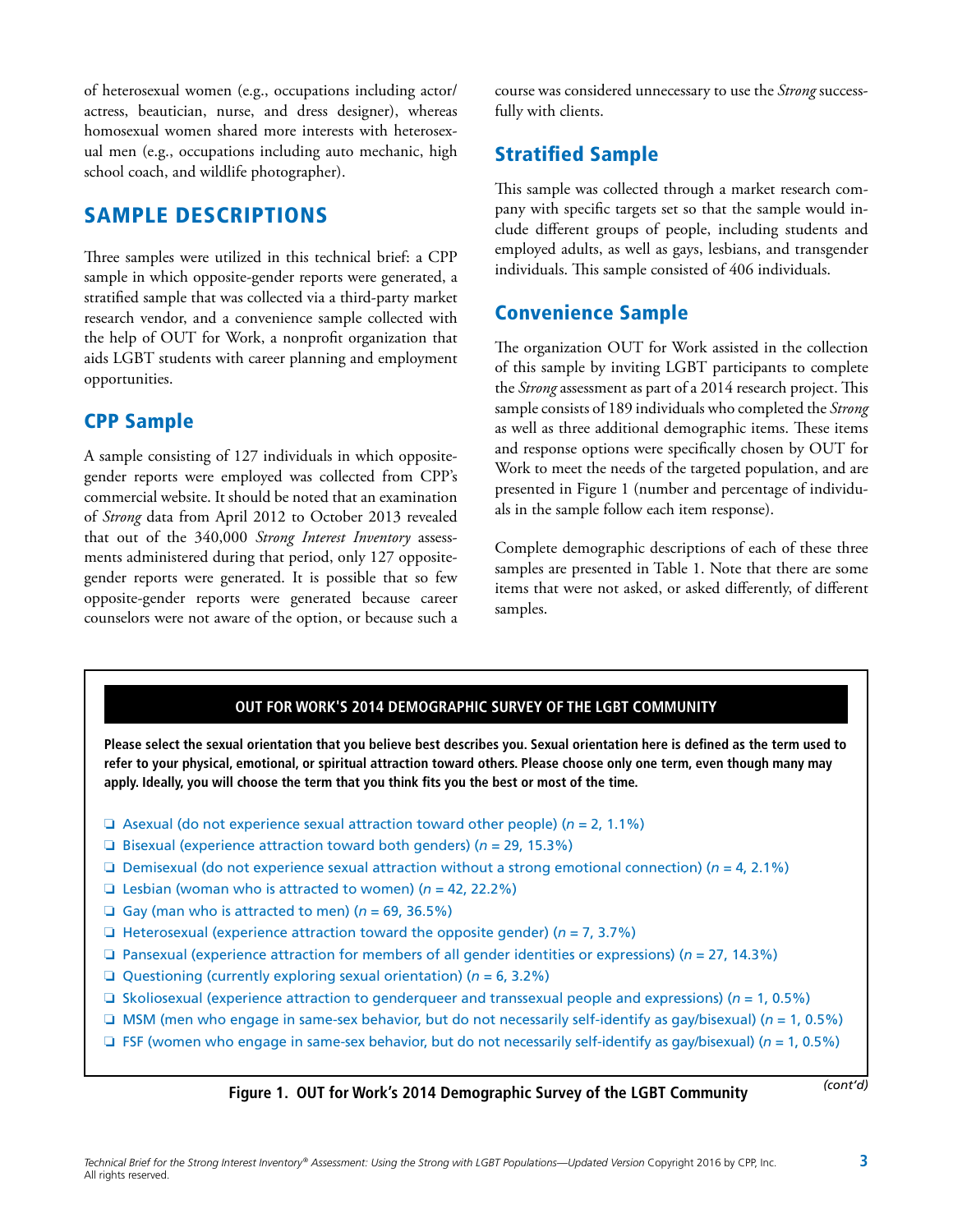of heterosexual women (e.g., occupations including actor/ actress, beautician, nurse, and dress designer), whereas homosexual women shared more interests with heterosexual men (e.g., occupations including auto mechanic, high school coach, and wildlife photographer).

## SAMPLE DESCRIPTIONS

Three samples were utilized in this technical brief: a CPP sample in which opposite-gender reports were generated, a stratified sample that was collected via a third-party market research vendor, and a convenience sample collected with the help of OUT for Work, a nonprofit organization that aids LGBT students with career planning and employment opportunities.

## CPP Sample

A sample consisting of 127 individuals in which oppositegender reports were employed was collected from CPP's commercial website. It should be noted that an examination of *Strong* data from April 2012 to October 2013 revealed that out of the 340,000 *Strong Interest Inventory* assessments administered during that period, only 127 oppositegender reports were generated. It is possible that so few opposite-gender reports were generated because career counselors were not aware of the option, or because such a

course was considered unnecessary to use the *Strong* successfully with clients.

## Stratified Sample

This sample was collected through a market research company with specific targets set so that the sample would include different groups of people, including students and employed adults, as well as gays, lesbians, and transgender individuals. This sample consisted of 406 individuals.

## Convenience Sample

The organization OUT for Work assisted in the collection of this sample by inviting LGBT participants to complete the *Strong* assessment as part of a 2014 research project. This sample consists of 189 individuals who completed the *Strong*  as well as three additional demographic items. These items and response options were specifically chosen by OUT for Work to meet the needs of the targeted population, and are presented in Figure 1 (number and percentage of individuals in the sample follow each item response).

Complete demographic descriptions of each of these three samples are presented in Table 1. Note that there are some items that were not asked, or asked differently, of different samples.

#### **OUT FOR WORK'S 2014 DEMOGRAPHIC SURVEY OF THE LGBT COMMUNITY**

**Please select the sexual orientation that you believe best describes you. Sexual orientation here is defined as the term used to refer to your physical, emotional, or spiritual attraction toward others. Please choose only one term, even though many may apply. Ideally, you will choose the term that you think fits you the best or most of the time.** 

- $\Box$  Asexual (do not experience sexual attraction toward other people) ( $n = 2, 1.1\%$ )
- **a** Bisexual (experience attraction toward both genders) ( $n = 29, 15.3\%$ )
- $\Box$  Demisexual (do not experience sexual attraction without a strong emotional connection) ( $n = 4$ , 2.1%)
- **Q** Lesbian (woman who is attracted to women) ( $n = 42$ , 22.2%)
- Gay (man who is attracted to men)  $(n = 69, 36.5\%)$
- $\Box$  Heterosexual (experience attraction toward the opposite gender) ( $n = 7, 3.7\%$ )
- $\Box$  Pansexual (experience attraction for members of all gender identities or expressions) ( $n = 27, 14.3\%$ )
- Questioning (currently exploring sexual orientation) ( $n = 6, 3.2\%$ )
- G Skoliosexual (experience attraction to genderqueer and transsexual people and expressions) ( $n = 1, 0.5\%$ )
- $\Box$  MSM (men who engage in same-sex behavior, but do not necessarily self-identify as gay/bisexual) ( $n = 1, 0.5\%$ )
- $\Box$  FSF (women who engage in same-sex behavior, but do not necessarily self-identify as gay/bisexual) ( $n = 1, 0.5\%$ )

**Figure 1. OUT for Work's 2014 Demographic Survey of the LGBT Community** *(cont'd)*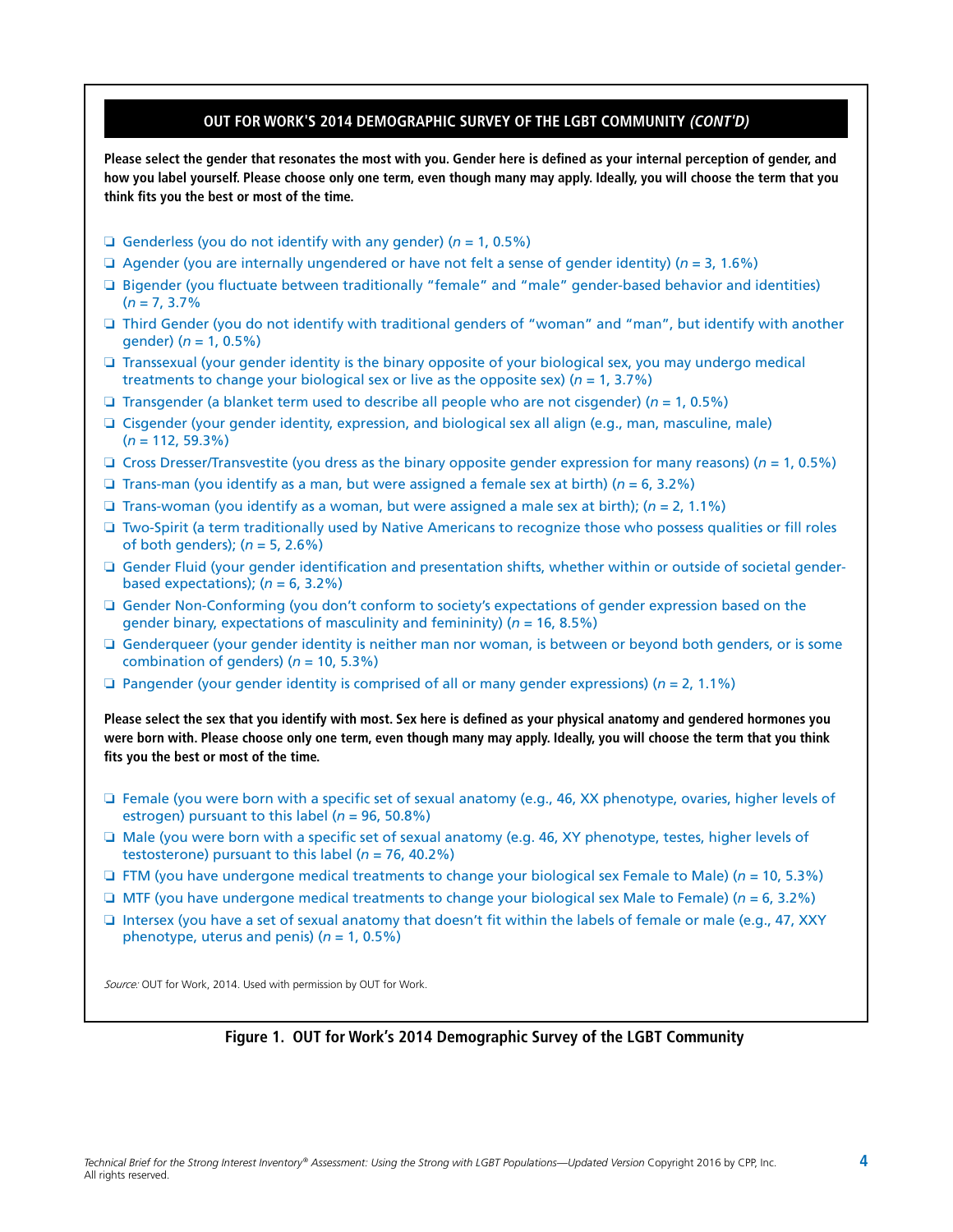#### **OUT FOR WORK'S 2014 DEMOGRAPHIC SURVEY OF THE LGBT COMMUNITY (CONT'D)**

**Please select the gender that resonates the most with you. Gender here is defined as your internal perception of gender, and how you label yourself. Please choose only one term, even though many may apply. Ideally, you will choose the term that you think fits you the best or most of the time.** 

- Genderless (you do not identify with any gender) ( $n = 1, 0.5\%$ )
- $\Box$  Agender (you are internally ungendered or have not felt a sense of gender identity) ( $n = 3, 1.6\%$ )
- □ Bigender (you fluctuate between traditionally "female" and "male" gender-based behavior and identities)  $(n = 7, 3.7\%$
- $\Box$  Third Gender (you do not identify with traditional genders of "woman" and "man", but identify with another gender) (*n* = 1, 0.5%)
- $\Box$  Transsexual (your gender identity is the binary opposite of your biological sex, you may undergo medical treatments to change your biological sex or live as the opposite sex) (*n* = 1, 3.7%)
- $\Box$  Transgender (a blanket term used to describe all people who are not cisgender) ( $n = 1, 0.5\%$ )
- $\Box$  Cisgender (your gender identity, expression, and biological sex all align (e.g., man, masculine, male) (*n* = 112, 59.3%)
- $\Box$  Cross Dresser/Transvestite (you dress as the binary opposite gender expression for many reasons) ( $n = 1, 0.5\%$ )
- **a** Trans-man (you identify as a man, but were assigned a female sex at birth) ( $n = 6, 3.2\%$ )
- **Trans-woman (you identify as a woman, but were assigned a male sex at birth); (** $n = 2, 1.1\%$ **)**
- $\Box$  Two-Spirit (a term traditionally used by Native Americans to recognize those who possess qualities or fill roles of both genders); (*n* = 5, 2.6%)
- $\Box$  Gender Fluid (your gender identification and presentation shifts, whether within or outside of societal genderbased expectations); (*n* = 6, 3.2%)
- $\Box$  Gender Non-Conforming (you don't conform to society's expectations of gender expression based on the gender binary, expectations of masculinity and femininity) (*n* = 16, 8.5%)
- $\Box$  Genderqueer (your gender identity is neither man nor woman, is between or beyond both genders, or is some combination of genders)  $(n = 10, 5.3\%)$
- **a** Pangender (your gender identity is comprised of all or many gender expressions) ( $n = 2, 1.1\%$ )

**Please select the sex that you identify with most. Sex here is defined as your physical anatomy and gendered hormones you were born with. Please choose only one term, even though many may apply. Ideally, you will choose the term that you think fits you the best or most of the time.** 

- $\Box$  Female (you were born with a specific set of sexual anatomy (e.g., 46, XX phenotype, ovaries, higher levels of estrogen) pursuant to this label (*n* = 96, 50.8%)
- □ Male (you were born with a specific set of sexual anatomy (e.g. 46, XY phenotype, testes, higher levels of testosterone) pursuant to this label (*n* = 76, 40.2%)
- $\Box$  FTM (you have undergone medical treatments to change your biological sex Female to Male) ( $n = 10, 5.3\%$ )
- $\Box$  MTF (you have undergone medical treatments to change your biological sex Male to Female) ( $n = 6, 3.2\%$ )
- $\Box$  Intersex (you have a set of sexual anatomy that doesn't fit within the labels of female or male (e.g., 47, XXY) phenotype, uterus and penis) (*n* = 1, 0.5%)

*Source:* OUT for Work, 2014. Used with permission by OUT for Work.

#### **Figure 1. OUT for Work's 2014 Demographic Survey of the LGBT Community**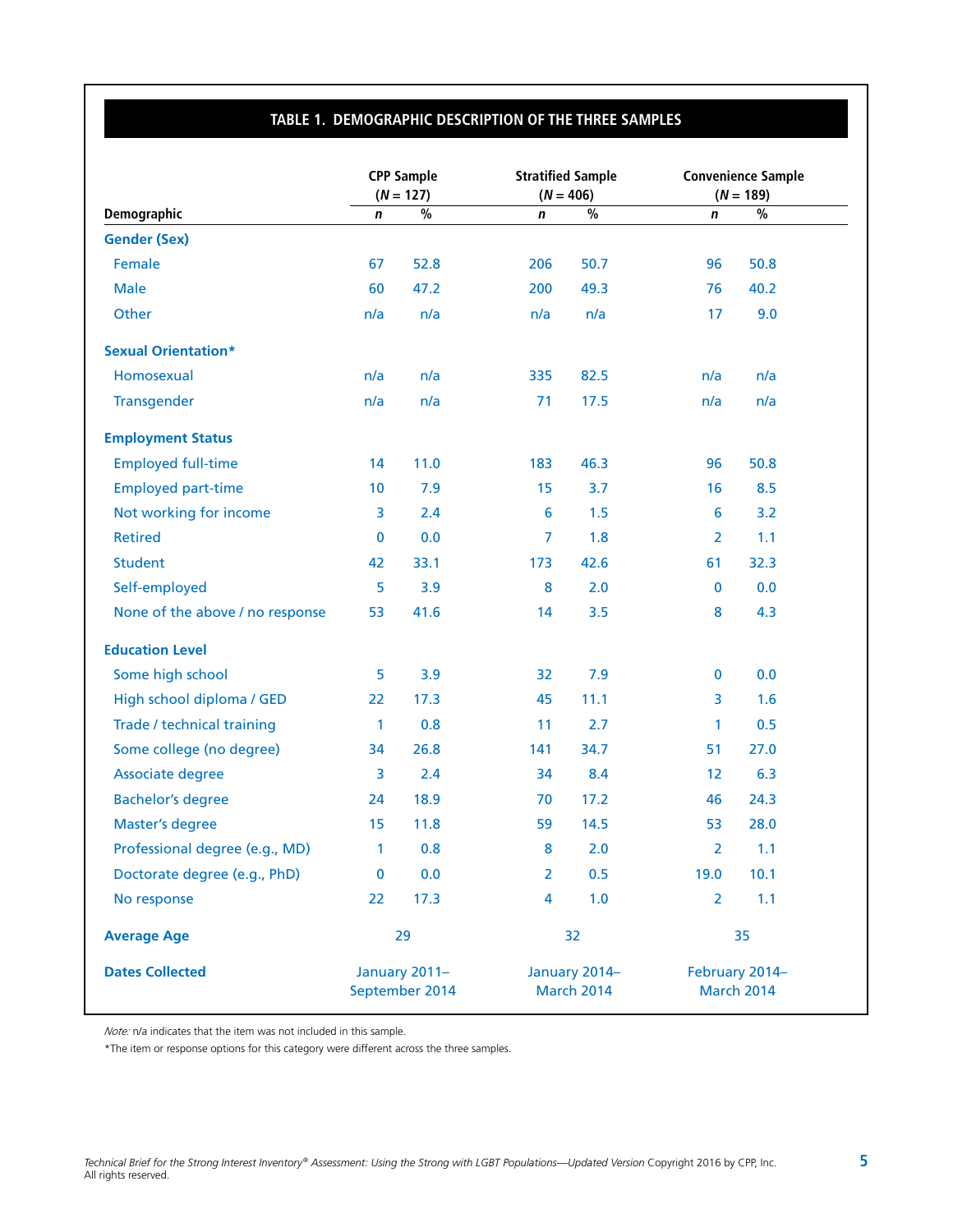### **TABLE 1. DEMOGRAPHIC DESCRIPTION OF THE THREE SAMPLES**

|                                 |             | <b>CPP Sample</b><br>$(N = 127)$ |                         | <b>Stratified Sample</b><br>$(N = 406)$ |                | <b>Convenience Sample</b><br>$(N = 189)$ |
|---------------------------------|-------------|----------------------------------|-------------------------|-----------------------------------------|----------------|------------------------------------------|
| <b>Demographic</b>              | $\mathbf n$ | $\frac{0}{6}$                    | n                       | $\frac{9}{6}$                           | n              | $\frac{0}{0}$                            |
| <b>Gender (Sex)</b>             |             |                                  |                         |                                         |                |                                          |
| Female                          | 67          | 52.8                             | 206                     | 50.7                                    | 96             | 50.8                                     |
| <b>Male</b>                     | 60          | 47.2                             | 200                     | 49.3                                    | 76             | 40.2                                     |
| Other                           | n/a         | n/a                              | n/a                     | n/a                                     | 17             | 9.0                                      |
| <b>Sexual Orientation*</b>      |             |                                  |                         |                                         |                |                                          |
| Homosexual                      | n/a         | n/a                              | 335                     | 82.5                                    | n/a            | n/a                                      |
| Transgender                     | n/a         | n/a                              | 71                      | 17.5                                    | n/a            | n/a                                      |
| <b>Employment Status</b>        |             |                                  |                         |                                         |                |                                          |
| <b>Employed full-time</b>       | 14          | 11.0                             | 183                     | 46.3                                    | 96             | 50.8                                     |
| <b>Employed part-time</b>       | 10          | 7.9                              | 15                      | 3.7                                     | 16             | 8.5                                      |
| Not working for income          | 3           | 2.4                              | $6\phantom{1}6$         | 1.5                                     | 6              | 3.2                                      |
| <b>Retired</b>                  | $\mathbf 0$ | 0.0                              | $\overline{7}$          | 1.8                                     | $\overline{2}$ | 1.1                                      |
| <b>Student</b>                  | 42          | 33.1                             | 173                     | 42.6                                    | 61             | 32.3                                     |
| Self-employed                   | 5           | 3.9                              | 8                       | 2.0                                     | $\mathbf 0$    | 0.0                                      |
| None of the above / no response | 53          | 41.6                             | 14                      | 3.5                                     | 8              | 4.3                                      |
| <b>Education Level</b>          |             |                                  |                         |                                         |                |                                          |
| Some high school                | 5           | 3.9                              | 32                      | 7.9                                     | $\bf{0}$       | 0.0                                      |
| High school diploma / GED       | 22          | 17.3                             | 45                      | 11.1                                    | 3              | 1.6                                      |
| Trade / technical training      | 1           | 0.8                              | 11                      | 2.7                                     | $\mathbf{1}$   | 0.5                                      |
| Some college (no degree)        | 34          | 26.8                             | 141                     | 34.7                                    | 51             | 27.0                                     |
| Associate degree                | 3           | 2.4                              | 34                      | 8.4                                     | 12             | 6.3                                      |
| <b>Bachelor's degree</b>        | 24          | 18.9                             | 70                      | 17.2                                    | 46             | 24.3                                     |
| <b>Master's degree</b>          | 15          | 11.8                             | 59                      | 14.5                                    | 53             | 28.0                                     |
| Professional degree (e.g., MD)  | 1           | 0.8                              | 8                       | 2.0                                     | $\overline{2}$ | 1.1                                      |
| Doctorate degree (e.g., PhD)    | $\bf{0}$    | 0.0                              | $\overline{2}$          | 0.5                                     | 19.0           | 10.1                                     |
| No response                     | 22          | 17.3                             | $\overline{\mathbf{4}}$ | 1.0                                     | $\overline{2}$ | 1.1                                      |
| <b>Average Age</b>              |             | 29                               |                         | 32                                      |                | 35                                       |
| <b>Dates Collected</b>          |             | January 2011-<br>September 2014  |                         | January 2014-<br><b>March 2014</b>      |                | February 2014-<br><b>March 2014</b>      |

*Note:* n/a indicates that the item was not included in this sample.

\*The item or response options for this category were different across the three samples.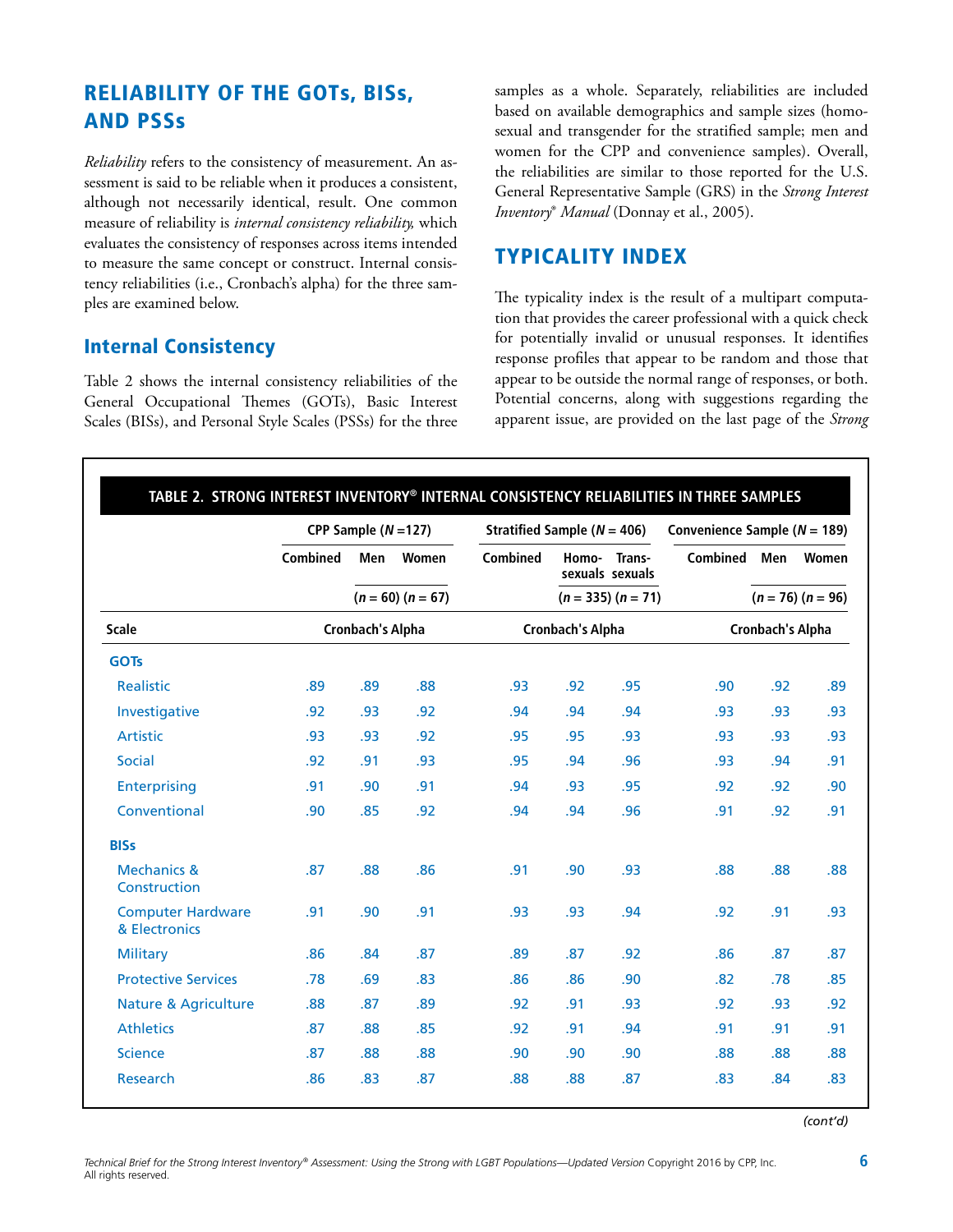# RELIABILITY OF THE GOTs, BISs, AND PSSs

*Reliability* refers to the consistency of measurement. An assessment is said to be reliable when it produces a consistent, although not necessarily identical, result. One common measure of reliability is *internal consistency reliability,* which evaluates the consistency of responses across items intended to measure the same concept or construct. Internal consistency reliabilities (i.e., Cronbach's alpha) for the three samples are examined below.

## Internal Consistency

Table 2 shows the internal consistency reliabilities of the General Occupational Themes (GOTs), Basic Interest Scales (BISs), and Personal Style Scales (PSSs) for the three

samples as a whole. Separately, reliabilities are included based on available demographics and sample sizes (homosexual and transgender for the stratified sample; men and women for the CPP and convenience samples). Overall, the reliabilities are similar to those reported for the U.S. General Representative Sample (GRS) in the *Strong Interest Inventory*® *Manual* (Donnay et al., 2005).

## TYPICALITY INDEX

The typicality index is the result of a multipart computation that provides the career professional with a quick check for potentially invalid or unusual responses. It identifies response profiles that appear to be random and those that appear to be outside the normal range of responses, or both. Potential concerns, along with suggestions regarding the apparent issue, are provided on the last page of the *Strong* 

|                                           |                         | CPP Sample $(N=127)$ |       |                         | Stratified Sample ( $N = 406$ ) |                           |                         | Convenience Sample ( $N = 189$ ) |       |  |
|-------------------------------------------|-------------------------|----------------------|-------|-------------------------|---------------------------------|---------------------------|-------------------------|----------------------------------|-------|--|
|                                           | <b>Combined</b>         | Men                  | Women | <b>Combined</b>         | Homo-                           | Trans-<br>sexuals sexuals | Combined Men            |                                  | Women |  |
|                                           |                         | $(n = 60) (n = 67)$  |       |                         | $(n = 335) (n = 71)$            |                           |                         | $(n = 76) (n = 96)$              |       |  |
| <b>Scale</b>                              | <b>Cronbach's Alpha</b> |                      |       | <b>Cronbach's Alpha</b> |                                 |                           | <b>Cronbach's Alpha</b> |                                  |       |  |
| <b>GOTs</b>                               |                         |                      |       |                         |                                 |                           |                         |                                  |       |  |
| Realistic                                 | .89                     | .89                  | .88   | .93                     | .92                             | .95                       | .90                     | .92                              | .89   |  |
| Investigative                             | .92                     | .93                  | .92   | .94                     | .94                             | .94                       | .93                     | .93                              | .93   |  |
| <b>Artistic</b>                           | .93                     | .93                  | .92   | .95                     | .95                             | .93                       | .93                     | .93                              | .93   |  |
| <b>Social</b>                             | .92                     | .91                  | .93   | .95                     | .94                             | .96                       | .93                     | .94                              | .91   |  |
| <b>Enterprising</b>                       | .91                     | .90                  | .91   | .94                     | .93                             | .95                       | .92                     | .92                              | .90   |  |
| Conventional                              | .90                     | .85                  | .92   | .94                     | .94                             | .96                       | .91                     | .92                              | .91   |  |
| <b>BISs</b>                               |                         |                      |       |                         |                                 |                           |                         |                                  |       |  |
| <b>Mechanics &amp;</b><br>Construction    | .87                     | .88                  | .86   | .91                     | .90                             | .93                       | .88                     | .88                              | .88   |  |
| <b>Computer Hardware</b><br>& Electronics | .91                     | .90                  | .91   | .93                     | .93                             | .94                       | .92                     | .91                              | .93   |  |
| <b>Military</b>                           | .86                     | .84                  | .87   | .89                     | .87                             | .92                       | .86                     | .87                              | .87   |  |
| <b>Protective Services</b>                | .78                     | .69                  | .83   | .86                     | .86                             | .90                       | .82                     | .78                              | .85   |  |
| <b>Nature &amp; Agriculture</b>           | .88                     | .87                  | .89   | .92                     | .91                             | .93                       | .92                     | .93                              | .92   |  |
| <b>Athletics</b>                          | .87                     | .88                  | .85   | .92                     | .91                             | .94                       | .91                     | .91                              | .91   |  |
| <b>Science</b>                            | .87                     | .88                  | .88   | .90                     | .90                             | .90                       | .88                     | .88                              | .88   |  |
| Research                                  | .86                     | .83                  | .87   | .88                     | .88                             | .87                       | .83                     | .84                              | .83   |  |

*(cont'd)*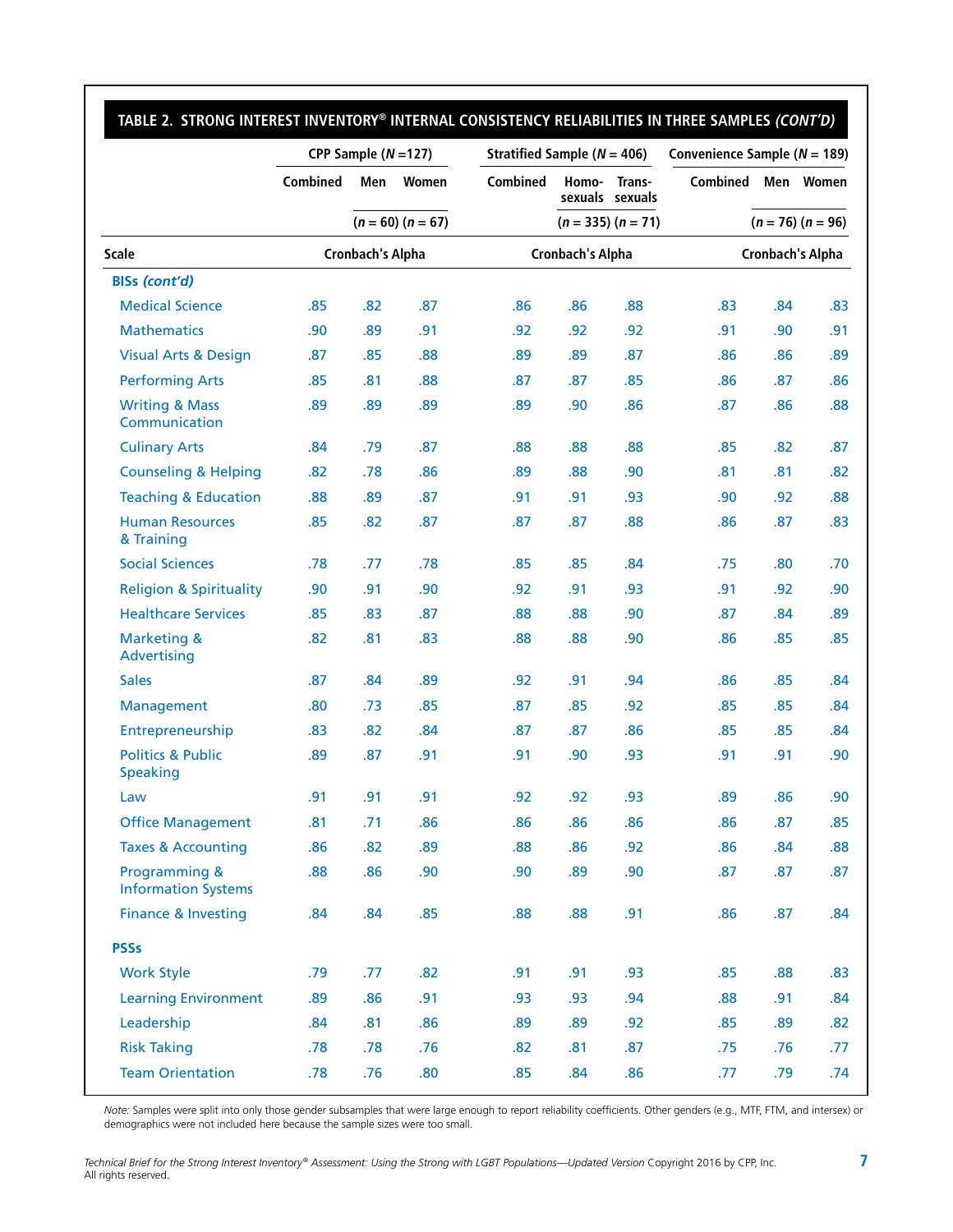|                                                 | CPP Sample $(N=127)$ |                         |                     |          |                         | Stratified Sample ( $N = 406$ ) |                 |     | Convenience Sample ( $N = 189$ ) |  |  |
|-------------------------------------------------|----------------------|-------------------------|---------------------|----------|-------------------------|---------------------------------|-----------------|-----|----------------------------------|--|--|
|                                                 | Combined             | Men                     | Women               | Combined | Homo-                   | Trans-<br>sexuals sexuals       | <b>Combined</b> |     | Men Women                        |  |  |
|                                                 |                      |                         | $(n = 60) (n = 67)$ |          |                         | $(n = 335) (n = 71)$            |                 |     | $(n = 76) (n = 96)$              |  |  |
| <b>Scale</b>                                    |                      | <b>Cronbach's Alpha</b> |                     |          | <b>Cronbach's Alpha</b> |                                 |                 |     | <b>Cronbach's Alpha</b>          |  |  |
| <b>BISs (cont'd)</b>                            |                      |                         |                     |          |                         |                                 |                 |     |                                  |  |  |
| <b>Medical Science</b>                          | .85                  | .82                     | .87                 | .86      | .86                     | .88                             | .83             | .84 | .83                              |  |  |
| <b>Mathematics</b>                              | .90                  | .89                     | .91                 | .92      | .92                     | .92                             | .91             | .90 | .91                              |  |  |
| <b>Visual Arts &amp; Design</b>                 | .87                  | .85                     | .88                 | .89      | .89                     | .87                             | .86             | .86 | .89                              |  |  |
| <b>Performing Arts</b>                          | .85                  | .81                     | .88                 | .87      | .87                     | .85                             | .86             | .87 | .86                              |  |  |
| <b>Writing &amp; Mass</b><br>Communication      | .89                  | .89                     | .89                 | .89      | .90                     | .86                             | .87             | .86 | .88                              |  |  |
| <b>Culinary Arts</b>                            | .84                  | .79                     | .87                 | .88      | .88                     | .88                             | .85             | .82 | .87                              |  |  |
| <b>Counseling &amp; Helping</b>                 | .82                  | .78                     | .86                 | .89      | .88                     | .90                             | .81             | .81 | .82                              |  |  |
| <b>Teaching &amp; Education</b>                 | .88                  | .89                     | .87                 | .91      | .91                     | .93                             | .90             | .92 | .88                              |  |  |
| <b>Human Resources</b><br>& Training            | .85                  | .82                     | .87                 | .87      | .87                     | .88                             | .86             | .87 | .83                              |  |  |
| <b>Social Sciences</b>                          | .78                  | .77                     | .78                 | .85      | .85                     | .84                             | .75             | .80 | .70                              |  |  |
| <b>Religion &amp; Spirituality</b>              | .90                  | .91                     | .90                 | .92      | .91                     | .93                             | .91             | .92 | .90                              |  |  |
| <b>Healthcare Services</b>                      | .85                  | .83                     | .87                 | .88      | .88                     | .90                             | .87             | .84 | .89                              |  |  |
| <b>Marketing &amp;</b><br>Advertising           | .82                  | .81                     | .83                 | .88      | .88                     | .90                             | .86             | .85 | .85                              |  |  |
| <b>Sales</b>                                    | .87                  | .84                     | .89                 | .92      | .91                     | .94                             | .86             | .85 | .84                              |  |  |
| Management                                      | .80                  | .73                     | .85                 | .87      | .85                     | .92                             | .85             | .85 | .84                              |  |  |
| Entrepreneurship                                | .83                  | .82                     | .84                 | .87      | .87                     | .86                             | .85             | .85 | .84                              |  |  |
| <b>Politics &amp; Public</b><br><b>Speaking</b> | .89                  | .87                     | .91                 | .91      | .90                     | .93                             | .91             | .91 | .90                              |  |  |
| Law                                             | .91                  | .91                     | .91                 | .92      | .92                     | .93                             | .89             | .86 | .90                              |  |  |
| <b>Office Management</b>                        | .81                  | .71                     | .86                 | .86      | .86                     | .86                             | .86             | .87 | .85                              |  |  |
| <b>Taxes &amp; Accounting</b>                   | .86                  | .82                     | .89                 | .88      | .86                     | .92                             | .86             | .84 | .88                              |  |  |
| Programming &<br><b>Information Systems</b>     | .88                  | .86                     | .90                 | .90      | .89                     | .90                             | .87             | .87 | .87                              |  |  |
| <b>Finance &amp; Investing</b>                  | .84                  | .84                     | .85                 | .88      | .88                     | .91                             | .86             | .87 | .84                              |  |  |
| <b>PSSs</b>                                     |                      |                         |                     |          |                         |                                 |                 |     |                                  |  |  |
| <b>Work Style</b>                               | .79                  | .77                     | .82                 | .91      | .91                     | .93                             | .85             | .88 | .83                              |  |  |
| <b>Learning Environment</b>                     | .89                  | .86                     | .91                 | .93      | .93                     | .94                             | .88             | .91 | .84                              |  |  |
| Leadership                                      | .84                  | .81                     | .86                 | .89      | .89                     | .92                             | .85             | .89 | .82                              |  |  |
| <b>Risk Taking</b>                              | .78                  | .78                     | .76                 | .82      | .81                     | .87                             | .75             | .76 | .77                              |  |  |
| <b>Team Orientation</b>                         | .78                  | .76                     | .80                 | .85      | .84                     | .86                             | .77             | .79 | .74                              |  |  |

*Note:* Samples were split into only those gender subsamples that were large enough to report reliability coefficients. Other genders (e.g., MTF, FTM, and intersex) or demographics were not included here because the sample sizes were too small.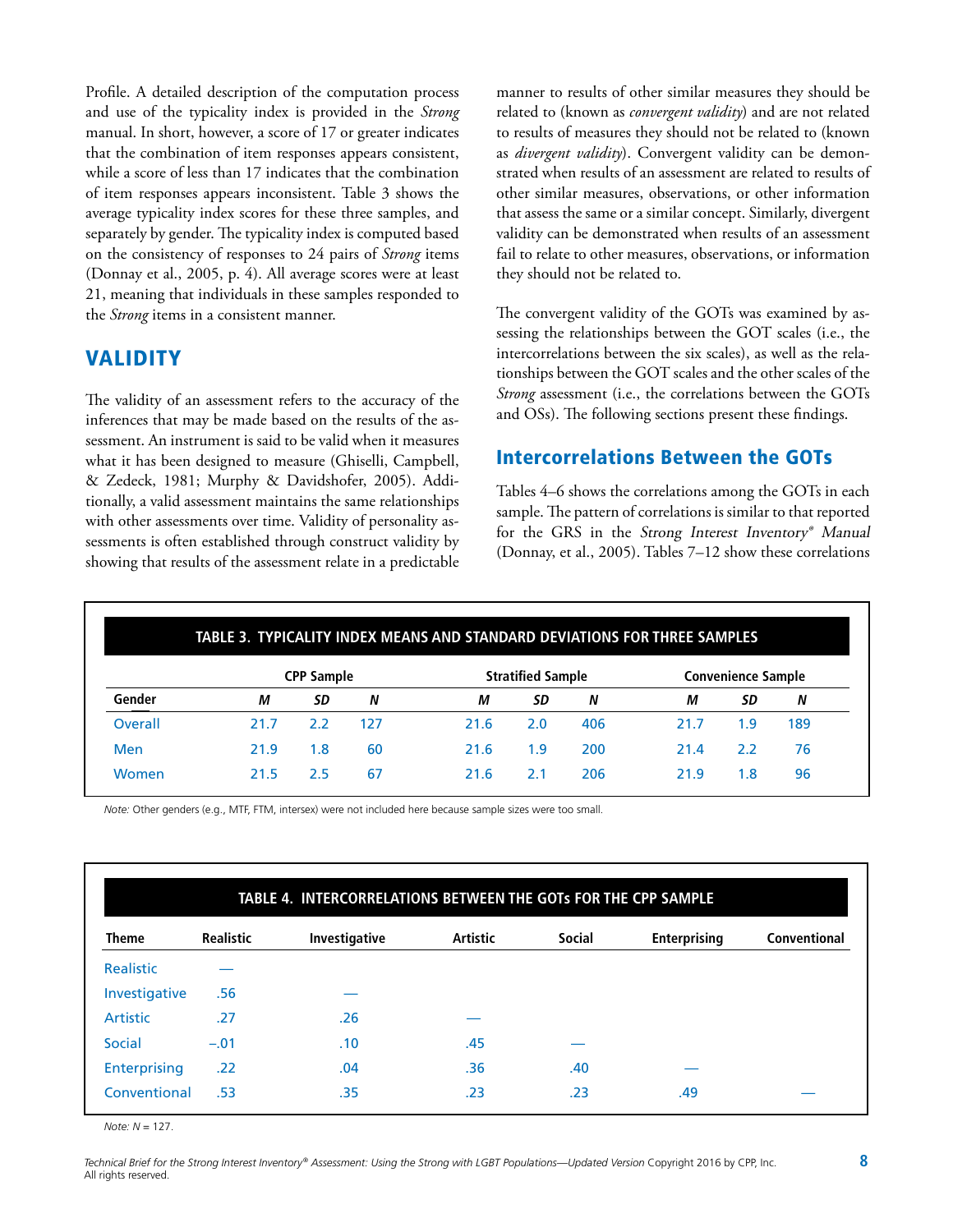Profile. A detailed description of the computation process and use of the typicality index is provided in the *Strong*  manual. In short, however, a score of 17 or greater indicates that the combination of item responses appears consistent, while a score of less than 17 indicates that the combination of item responses appears inconsistent. Table 3 shows the average typicality index scores for these three samples, and separately by gender. The typicality index is computed based on the consistency of responses to 24 pairs of *Strong* items (Donnay et al., 2005, p. 4). All average scores were at least 21, meaning that individuals in these samples responded to the *Strong* items in a consistent manner.

## VALIDITY

The validity of an assessment refers to the accuracy of the inferences that may be made based on the results of the assessment. An instrument is said to be valid when it measures what it has been designed to measure (Ghiselli, Campbell, & Zedeck, 1981; Murphy & Davidshofer, 2005). Additionally, a valid assessment maintains the same relationships with other assessments over time. Validity of personality assessments is often established through construct validity by showing that results of the assessment relate in a predictable

manner to results of other similar measures they should be related to (known as *convergent validity*) and are not related to results of measures they should not be related to (known as *divergent validity*). Convergent validity can be demonstrated when results of an assessment are related to results of other similar measures, observations, or other information that assess the same or a similar concept. Similarly, divergent validity can be demonstrated when results of an assessment fail to relate to other measures, observations, or information they should not be related to.

The convergent validity of the GOTs was examined by assessing the relationships between the GOT scales (i.e., the intercorrelations between the six scales), as well as the relationships between the GOT scales and the other scales of the *Strong* assessment (i.e., the correlations between the GOTs and OSs). The following sections present these findings.

## Intercorrelations Between the GOTs

Tables 4–6 shows the correlations among the GOTs in each sample. The pattern of correlations is similar to that reported for the GRS in the Strong Interest Inventory® Manual (Donnay, et al., 2005). Tables 7–12 show these correlations

|         | TABLE 3. TYPICALITY INDEX MEANS AND STANDARD DEVIATIONS FOR THREE SAMPLES |     |     |                          |     |     |                           |     |     |
|---------|---------------------------------------------------------------------------|-----|-----|--------------------------|-----|-----|---------------------------|-----|-----|
|         | <b>CPP Sample</b>                                                         |     |     | <b>Stratified Sample</b> |     |     | <b>Convenience Sample</b> |     |     |
| Gender  | М                                                                         | SD  | N   | М                        | SD  | N   | М                         | SD  | N   |
| Overall | 21.7                                                                      | 2.2 | 127 | 21.6                     | 2.0 | 406 | 21.7                      | 1.9 | 189 |
| Men     | 21.9                                                                      | 1.8 | 60  | 21.6                     | 1.9 | 200 | 21.4                      | 2.2 | 76  |
| Women   | 21.5                                                                      | 2.5 | 67  | 21.6                     | 2.1 | 206 | 21.9                      | 1.8 | 96  |

*Note:* Other genders (e.g., MTF, FTM, intersex) were not included here because sample sizes were too small.

| TABLE 4. INTERCORRELATIONS BETWEEN THE GOTS FOR THE CPP SAMPLE |                  |               |                 |               |                     |              |  |  |  |  |
|----------------------------------------------------------------|------------------|---------------|-----------------|---------------|---------------------|--------------|--|--|--|--|
| <b>Theme</b>                                                   | <b>Realistic</b> | Investigative | <b>Artistic</b> | <b>Social</b> | <b>Enterprising</b> | Conventional |  |  |  |  |
| Realistic                                                      |                  |               |                 |               |                     |              |  |  |  |  |
| Investigative                                                  | .56              |               |                 |               |                     |              |  |  |  |  |
| <b>Artistic</b>                                                | .27              | .26           |                 |               |                     |              |  |  |  |  |
| Social                                                         | $-.01$           | .10           | .45             |               |                     |              |  |  |  |  |
| Enterprising                                                   | .22              | .04           | .36             | .40           |                     |              |  |  |  |  |
| Conventional                                                   | .53              | .35           | .23             | .23           | .49                 |              |  |  |  |  |

*Note: N* = 127.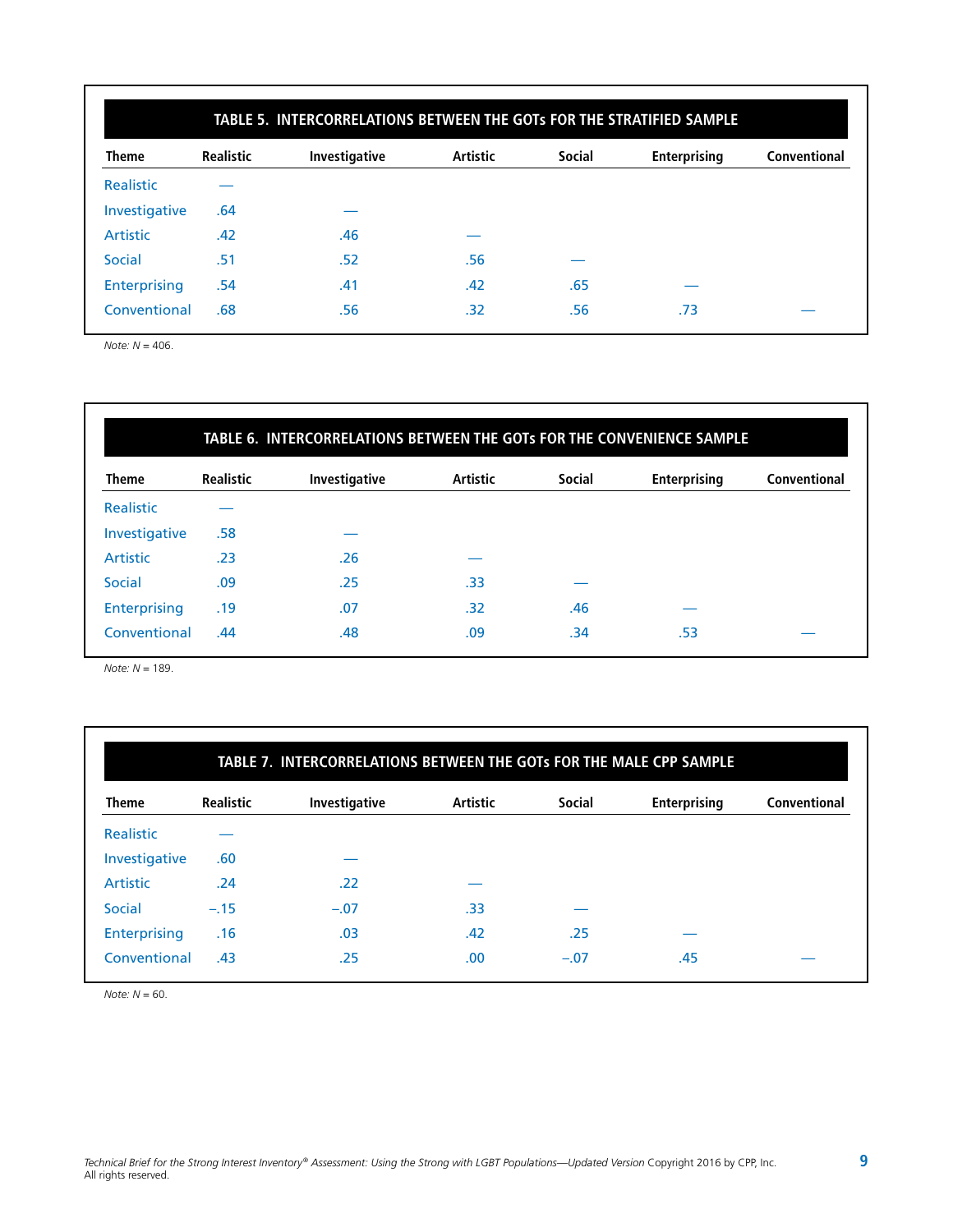|               | TABLE 5. INTERCORRELATIONS BETWEEN THE GOTs FOR THE STRATIFIED SAMPLE |               |                 |               |                     |              |  |  |  |  |  |
|---------------|-----------------------------------------------------------------------|---------------|-----------------|---------------|---------------------|--------------|--|--|--|--|--|
| <b>Theme</b>  | <b>Realistic</b>                                                      | Investigative | <b>Artistic</b> | <b>Social</b> | <b>Enterprising</b> | Conventional |  |  |  |  |  |
| Realistic     |                                                                       |               |                 |               |                     |              |  |  |  |  |  |
| Investigative | .64                                                                   |               |                 |               |                     |              |  |  |  |  |  |
| Artistic      | .42                                                                   | .46           |                 |               |                     |              |  |  |  |  |  |
| Social        | .51                                                                   | .52           | .56             |               |                     |              |  |  |  |  |  |
| Enterprising  | .54                                                                   | .41           | .42             | .65           |                     |              |  |  |  |  |  |
| Conventional  | .68                                                                   | .56           | .32             | .56           | .73                 |              |  |  |  |  |  |

*Note: N* = 406.

### **TABLE 6. INTERCORRELATIONS BETWEEN THE GOTs FOR THE CONVENIENCE SAMPLE**

| <b>Theme</b>    | <b>Realistic</b> | Investigative | Artistic | <b>Social</b> | <b>Enterprising</b> | Conventional |
|-----------------|------------------|---------------|----------|---------------|---------------------|--------------|
| Realistic       |                  |               |          |               |                     |              |
| Investigative   | .58              |               |          |               |                     |              |
| <b>Artistic</b> | .23              | .26           |          |               |                     |              |
| Social          | .09              | .25           | .33      |               |                     |              |
| Enterprising    | .19              | .07           | .32      | .46           |                     |              |
| Conventional    | .44              | .48           | .09      | .34           | .53                 |              |

*Note: N* = 189.

|               | TABLE 7. INTERCORRELATIONS BETWEEN THE GOTS FOR THE MALE CPP SAMPLE |               |                 |               |                     |              |  |  |  |  |  |
|---------------|---------------------------------------------------------------------|---------------|-----------------|---------------|---------------------|--------------|--|--|--|--|--|
| <b>Theme</b>  | <b>Realistic</b>                                                    | Investigative | <b>Artistic</b> | <b>Social</b> | <b>Enterprising</b> | Conventional |  |  |  |  |  |
| Realistic     |                                                                     |               |                 |               |                     |              |  |  |  |  |  |
| Investigative | .60                                                                 |               |                 |               |                     |              |  |  |  |  |  |
| Artistic      | .24                                                                 | .22           |                 |               |                     |              |  |  |  |  |  |
| Social        | $-.15$                                                              | $-.07$        | .33             |               |                     |              |  |  |  |  |  |
| Enterprising  | .16                                                                 | .03           | .42             | .25           |                     |              |  |  |  |  |  |
| Conventional  | .43                                                                 | .25           | .00.            | $-.07$        | .45                 |              |  |  |  |  |  |

*Note: N* = 60.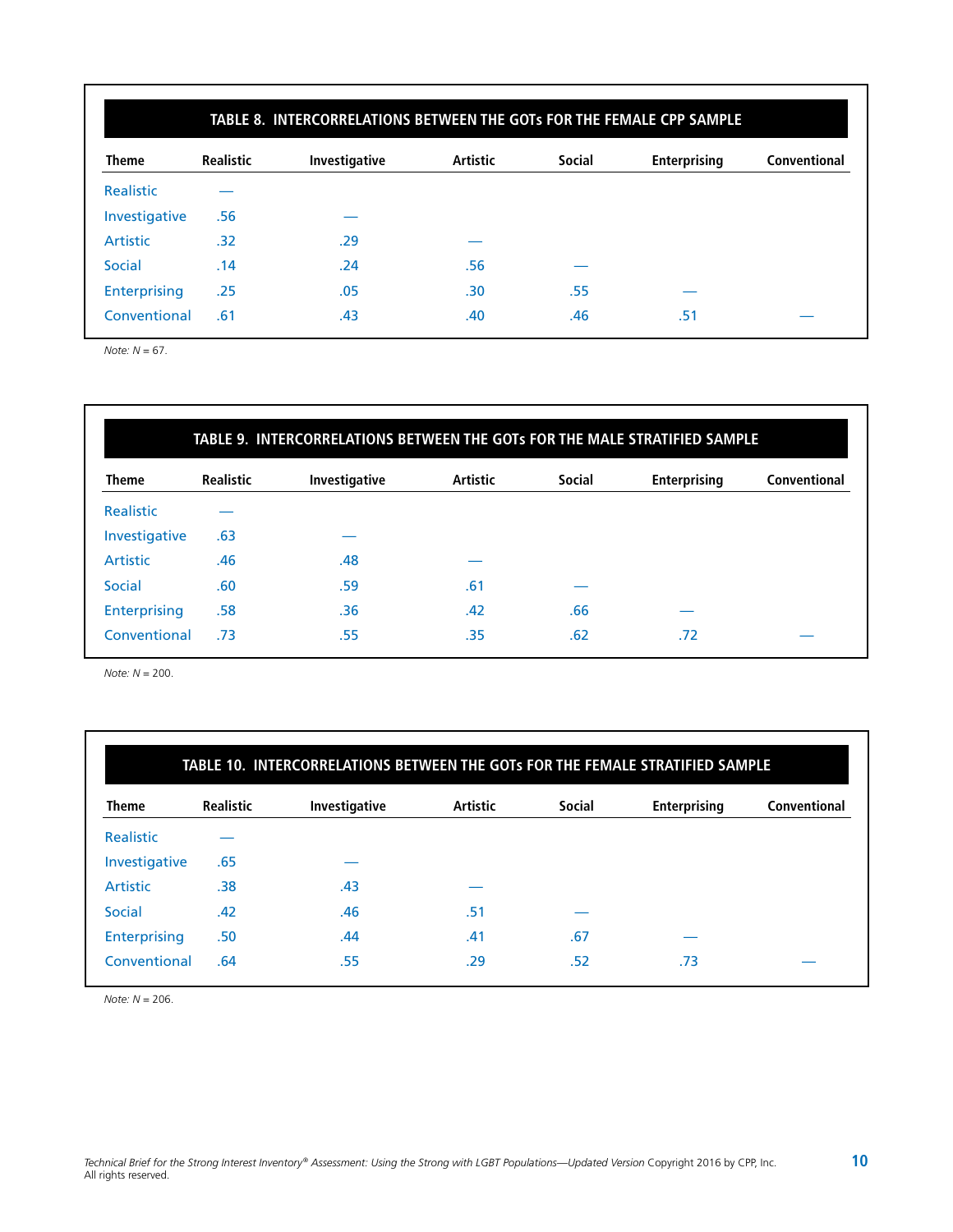|                  | TABLE 8. INTERCORRELATIONS BETWEEN THE GOTs FOR THE FEMALE CPP SAMPLE |               |                 |               |                     |              |  |  |  |  |  |
|------------------|-----------------------------------------------------------------------|---------------|-----------------|---------------|---------------------|--------------|--|--|--|--|--|
| <b>Theme</b>     | <b>Realistic</b>                                                      | Investigative | <b>Artistic</b> | <b>Social</b> | <b>Enterprising</b> | Conventional |  |  |  |  |  |
| <b>Realistic</b> |                                                                       |               |                 |               |                     |              |  |  |  |  |  |
| Investigative    | .56                                                                   |               |                 |               |                     |              |  |  |  |  |  |
| Artistic         | .32                                                                   | .29           |                 |               |                     |              |  |  |  |  |  |
| Social           | .14                                                                   | .24           | .56             |               |                     |              |  |  |  |  |  |
| Enterprising     | .25                                                                   | .05           | .30             | .55           |                     |              |  |  |  |  |  |
| Conventional     | .61                                                                   | .43           | .40             | .46           | .51                 |              |  |  |  |  |  |

*Note: N* = 67.

## **TABLE 9. INTERCORRELATIONS BETWEEN THE GOTs FOR THE MALE STRATIFIED SAMPLE**

| <b>Theme</b>        | <b>Realistic</b> | Investigative | <b>Artistic</b> | <b>Social</b> | <b>Enterprising</b> | Conventional |
|---------------------|------------------|---------------|-----------------|---------------|---------------------|--------------|
| <b>Realistic</b>    |                  |               |                 |               |                     |              |
| Investigative       | .63              |               |                 |               |                     |              |
| <b>Artistic</b>     | .46              | .48           |                 |               |                     |              |
| <b>Social</b>       | .60              | .59           | .61             |               |                     |              |
| <b>Enterprising</b> | .58              | .36           | .42             | .66           |                     |              |
| Conventional        | .73              | .55           | .35             | .62           | .72                 |              |

*Note: N* = 200.

| <b>Theme</b>    | <b>Realistic</b> | Investigative | <b>Artistic</b> | <b>Social</b> | <b>Enterprising</b> | Conventional |
|-----------------|------------------|---------------|-----------------|---------------|---------------------|--------------|
| Realistic       |                  |               |                 |               |                     |              |
| Investigative   | .65              |               |                 |               |                     |              |
| <b>Artistic</b> | .38              | .43           |                 |               |                     |              |
| <b>Social</b>   | .42              | .46           | .51             |               |                     |              |
| Enterprising    | .50              | .44           | .41             | .67           |                     |              |
| Conventional    | .64              | .55           | .29             | .52           | .73                 |              |

*Note: N* = 206.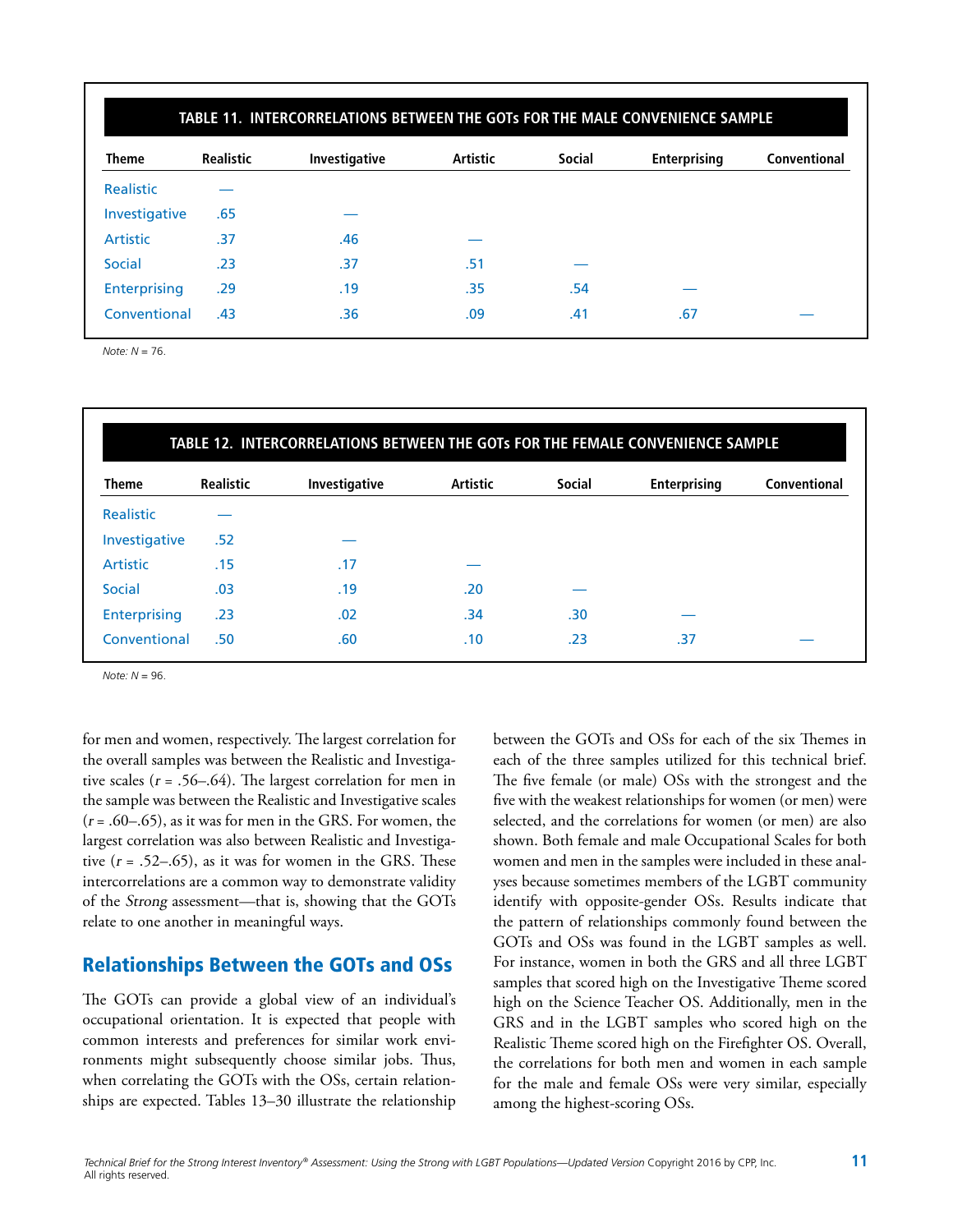|                  | TABLE 11. INTERCORRELATIONS BETWEEN THE GOTs FOR THE MALE CONVENIENCE SAMPLE |               |                 |               |              |              |  |  |  |  |  |
|------------------|------------------------------------------------------------------------------|---------------|-----------------|---------------|--------------|--------------|--|--|--|--|--|
| <b>Theme</b>     | <b>Realistic</b>                                                             | Investigative | <b>Artistic</b> | <b>Social</b> | Enterprising | Conventional |  |  |  |  |  |
| <b>Realistic</b> |                                                                              |               |                 |               |              |              |  |  |  |  |  |
| Investigative    | .65                                                                          |               |                 |               |              |              |  |  |  |  |  |
| <b>Artistic</b>  | .37                                                                          | .46           |                 |               |              |              |  |  |  |  |  |
| Social           | .23                                                                          | .37           | .51             |               |              |              |  |  |  |  |  |
| Enterprising     | .29                                                                          | .19           | .35             | .54           |              |              |  |  |  |  |  |
| Conventional     | .43                                                                          | .36           | .09             | .41           | .67          |              |  |  |  |  |  |

*Note: N* = 76.

| <b>Theme</b>    | <b>Realistic</b> | Investigative | <b>Artistic</b> | <b>Social</b> | Enterprising | Conventional |
|-----------------|------------------|---------------|-----------------|---------------|--------------|--------------|
| Realistic       |                  |               |                 |               |              |              |
| Investigative   | .52              |               |                 |               |              |              |
| <b>Artistic</b> | .15              | .17           |                 |               |              |              |
| Social          | .03              | .19           | .20             |               |              |              |
| Enterprising    | .23              | .02           | .34             | .30           |              |              |
| Conventional    | .50              | .60           | .10             | .23           | .37          |              |

*Note: N* = 96.

for men and women, respectively. The largest correlation for the overall samples was between the Realistic and Investigative scales ( $r = .56-.64$ ). The largest correlation for men in the sample was between the Realistic and Investigative scales  $(r = .60 - .65)$ , as it was for men in the GRS. For women, the largest correlation was also between Realistic and Investigative  $(r = .52–.65)$ , as it was for women in the GRS. These intercorrelations are a common way to demonstrate validity of the Strong assessment—that is, showing that the GOTs relate to one another in meaningful ways.

## Relationships Between the GOTs and OSs

The GOTs can provide a global view of an individual's occupational orientation. It is expected that people with common interests and preferences for similar work environments might subsequently choose similar jobs. Thus, when correlating the GOTs with the OSs, certain relationships are expected. Tables 13–30 illustrate the relationship between the GOTs and OSs for each of the six Themes in each of the three samples utilized for this technical brief. The five female (or male) OSs with the strongest and the five with the weakest relationships for women (or men) were selected, and the correlations for women (or men) are also shown. Both female and male Occupational Scales for both women and men in the samples were included in these analyses because sometimes members of the LGBT community identify with opposite-gender OSs. Results indicate that the pattern of relationships commonly found between the GOTs and OSs was found in the LGBT samples as well. For instance, women in both the GRS and all three LGBT samples that scored high on the Investigative Theme scored high on the Science Teacher OS. Additionally, men in the GRS and in the LGBT samples who scored high on the Realistic Theme scored high on the Firefighter OS. Overall, the correlations for both men and women in each sample for the male and female OSs were very similar, especially among the highest-scoring OSs.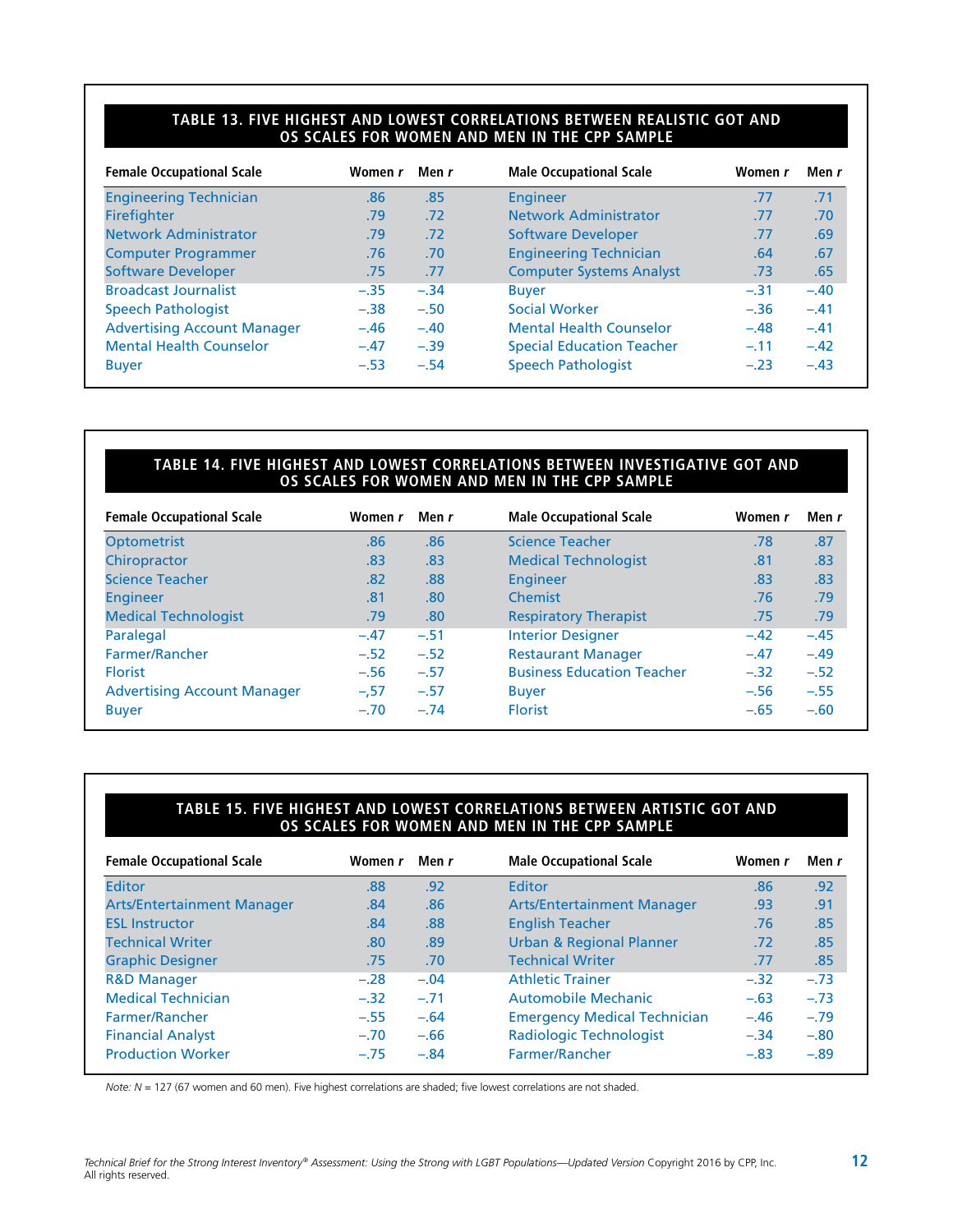#### **TABLE 13. FIVE HIGHEST AND LOWEST CORRELATIONS BETWEEN REALISTIC GOT AND OS SCALES FOR WOMEN AND MEN IN THE CPP SAMPLE**

| <b>Female Occupational Scale</b>   | Women r | Men r  | <b>Male Occupational Scale</b>   | Women r | Men r  |
|------------------------------------|---------|--------|----------------------------------|---------|--------|
| <b>Engineering Technician</b>      | .86     | .85    | <b>Engineer</b>                  | .77     | .71    |
| <b>Firefighter</b>                 | .79     | .72    | <b>Network Administrator</b>     | .77     | .70    |
| <b>Network Administrator</b>       | .79     | .72    | <b>Software Developer</b>        | .77     | .69    |
| <b>Computer Programmer</b>         | .76     | .70    | <b>Engineering Technician</b>    | .64     | .67    |
| <b>Software Developer</b>          | .75     | .77    | <b>Computer Systems Analyst</b>  | .73     | .65    |
| <b>Broadcast Journalist</b>        | $-.35$  | $-.34$ | <b>Buyer</b>                     | $-.31$  | $-.40$ |
| <b>Speech Pathologist</b>          | $-.38$  | $-.50$ | <b>Social Worker</b>             | $-.36$  | $-.41$ |
| <b>Advertising Account Manager</b> | $-.46$  | $-.40$ | <b>Mental Health Counselor</b>   | $-.48$  | $-.41$ |
| <b>Mental Health Counselor</b>     | $-.47$  | $-.39$ | <b>Special Education Teacher</b> | $-.11$  | $-.42$ |
| <b>Buyer</b>                       | $-.53$  | $-.54$ | <b>Speech Pathologist</b>        | $-.23$  | $-.43$ |

#### **TABLE 14. FIVE HIGHEST AND LOWEST CORRELATIONS BETWEEN INVESTIGATIVE GOT AND OS SCALES FOR WOMEN AND MEN IN THE CPP SAMPLE**

| <b>Female Occupational Scale</b>   | Women r | Men r  | <b>Male Occupational Scale</b>    | Women r | Men r  |
|------------------------------------|---------|--------|-----------------------------------|---------|--------|
| <b>Optometrist</b>                 | .86     | .86    | <b>Science Teacher</b>            | .78     | .87    |
| Chiropractor                       | .83     | .83    | <b>Medical Technologist</b>       | .81     | .83    |
| <b>Science Teacher</b>             | .82     | .88    | Engineer                          | .83     | .83    |
| <b>Engineer</b>                    | .81     | .80    | Chemist                           | .76     | .79    |
| <b>Medical Technologist</b>        | .79     | .80    | <b>Respiratory Therapist</b>      | .75     | .79    |
| Paralegal                          | $-.47$  | $-.51$ | <b>Interior Designer</b>          | $-.42$  | $-.45$ |
| Farmer/Rancher                     | $-.52$  | $-.52$ | <b>Restaurant Manager</b>         | $-.47$  | $-.49$ |
| <b>Florist</b>                     | $-.56$  | $-.57$ | <b>Business Education Teacher</b> | $-.32$  | $-.52$ |
| <b>Advertising Account Manager</b> | $-.57$  | $-.57$ | <b>Buyer</b>                      | $-.56$  | $-.55$ |
| <b>Buyer</b>                       | $-.70$  | $-.74$ | <b>Florist</b>                    | $-.65$  | $-.60$ |

#### **TABLE 15. FIVE HIGHEST AND LOWEST CORRELATIONS BETWEEN ARTISTIC GOT AND OS SCALES FOR WOMEN AND MEN IN THE CPP SAMPLE**

| <b>Female Occupational Scale</b>  | Women r | Men r  | <b>Male Occupational Scale</b>      | Women r | Men r  |
|-----------------------------------|---------|--------|-------------------------------------|---------|--------|
| <b>Editor</b>                     | .88     | .92    | Editor                              | .86     | .92    |
| <b>Arts/Entertainment Manager</b> | .84     | .86    | <b>Arts/Entertainment Manager</b>   | .93     | .91    |
| <b>ESL Instructor</b>             | .84     | .88    | <b>English Teacher</b>              | .76     | .85    |
| <b>Technical Writer</b>           | .80     | .89    | <b>Urban &amp; Regional Planner</b> | .72     | .85    |
| <b>Graphic Designer</b>           | .75     | .70    | <b>Technical Writer</b>             | .77     | .85    |
| <b>R&amp;D Manager</b>            | $-.28$  | $-.04$ | <b>Athletic Trainer</b>             | $-.32$  | $-.73$ |
| <b>Medical Technician</b>         | $-.32$  | $-.71$ | Automobile Mechanic                 | $-.63$  | $-.73$ |
| Farmer/Rancher                    | $-.55$  | $-.64$ | <b>Emergency Medical Technician</b> | $-.46$  | $-.79$ |
| <b>Financial Analyst</b>          | $-.70$  | $-.66$ | <b>Radiologic Technologist</b>      | $-.34$  | $-.80$ |
| <b>Production Worker</b>          | $-.75$  | $-.84$ | Farmer/Rancher                      | $-.83$  | $-.89$ |

*Note: N* = 127 (67 women and 60 men). Five highest correlations are shaded; five lowest correlations are not shaded.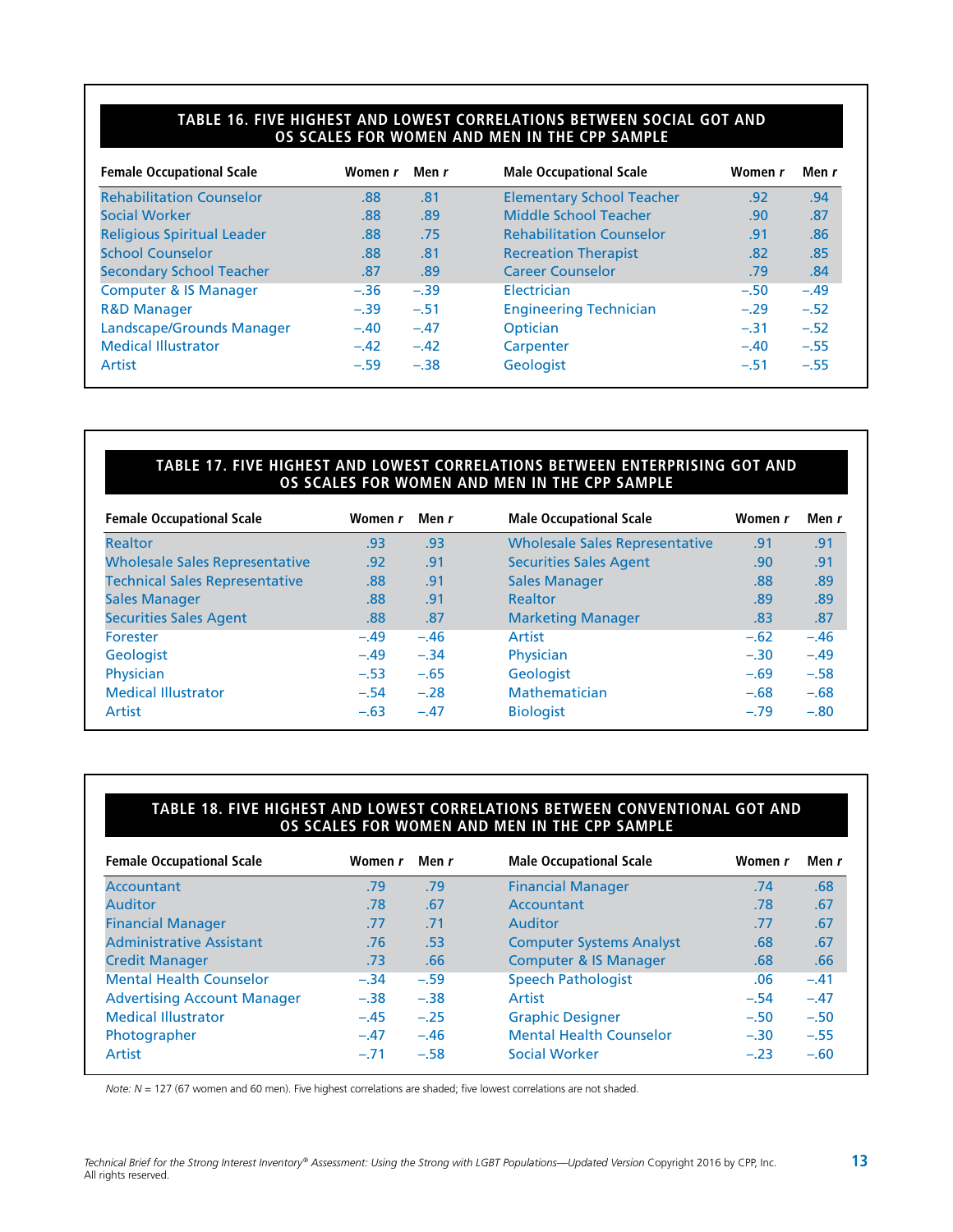#### **TABLE 16. FIVE HIGHEST AND LOWEST CORRELATIONS BETWEEN SOCIAL GOT AND OS SCALES FOR WOMEN AND MEN IN THE CPP SAMPLE**

| <b>Female Occupational Scale</b>  | Women r | Men r  | <b>Male Occupational Scale</b>   | Women r | Men r  |
|-----------------------------------|---------|--------|----------------------------------|---------|--------|
| <b>Rehabilitation Counselor</b>   | .88     | .81    | <b>Elementary School Teacher</b> | .92     | .94    |
| Social Worker                     | .88     | .89    | Middle School Teacher            | .90     | .87    |
| <b>Religious Spiritual Leader</b> | .88     | .75    | <b>Rehabilitation Counselor</b>  | .91     | .86    |
| <b>School Counselor</b>           | .88     | .81    | <b>Recreation Therapist</b>      | .82     | .85    |
| <b>Secondary School Teacher</b>   | .87     | .89    | <b>Career Counselor</b>          | .79     | .84    |
| <b>Computer &amp; IS Manager</b>  | $-.36$  | $-.39$ | Electrician                      | $-.50$  | $-.49$ |
| <b>R&amp;D Manager</b>            | $-.39$  | $-.51$ | <b>Engineering Technician</b>    | $-.29$  | $-.52$ |
| Landscape/Grounds Manager         | $-.40$  | $-.47$ | Optician                         | $-.31$  | $-.52$ |
| <b>Medical Illustrator</b>        | $-.42$  | $-.42$ | Carpenter                        | $-.40$  | $-.55$ |
| Artist                            | $-.59$  | $-.38$ | <b>Geologist</b>                 | $-.51$  | $-.55$ |

#### **TABLE 17. FIVE HIGHEST AND LOWEST CORRELATIONS BETWEEN ENTERPRISING GOT AND OS SCALES FOR WOMEN AND MEN IN THE CPP SAMPLE**

| <b>Female Occupational Scale</b>      | Women r | Men r  | <b>Male Occupational Scale</b>        | Women r | Men r  |
|---------------------------------------|---------|--------|---------------------------------------|---------|--------|
| <b>Realtor</b>                        | .93     | .93    | <b>Wholesale Sales Representative</b> | .91     | .91    |
| <b>Wholesale Sales Representative</b> | .92     | .91    | <b>Securities Sales Agent</b>         | .90     | .91    |
| <b>Technical Sales Representative</b> | .88     | .91    | <b>Sales Manager</b>                  | .88     | .89    |
| <b>Sales Manager</b>                  | .88     | .91    | Realtor                               | .89     | .89    |
| <b>Securities Sales Agent</b>         | .88     | .87    | <b>Marketing Manager</b>              | .83     | .87    |
| Forester                              | $-.49$  | $-.46$ | Artist                                | $-.62$  | $-.46$ |
| <b>Geologist</b>                      | $-.49$  | $-.34$ | Physician                             | $-.30$  | $-.49$ |
| Physician                             | $-.53$  | $-.65$ | <b>Geologist</b>                      | $-.69$  | $-.58$ |
| <b>Medical Illustrator</b>            | $-.54$  | $-.28$ | Mathematician                         | $-.68$  | $-.68$ |
| Artist                                | $-.63$  | $-.47$ | <b>Biologist</b>                      | $-.79$  | $-.80$ |

#### **TABLE 18. FIVE HIGHEST AND LOWEST CORRELATIONS BETWEEN CONVENTIONAL GOT AND OS SCALES FOR WOMEN AND MEN IN THE CPP SAMPLE**

| <b>Female Occupational Scale</b>   | Women r | Men r  | <b>Male Occupational Scale</b>   | Women r | Men r  |
|------------------------------------|---------|--------|----------------------------------|---------|--------|
| <b>Accountant</b>                  | .79     | .79    | <b>Financial Manager</b>         | .74     | .68    |
| Auditor                            | .78     | .67    | Accountant                       | .78     | .67    |
| <b>Financial Manager</b>           | .77     | .71    | Auditor                          | .77     | .67    |
| <b>Administrative Assistant</b>    | .76     | .53    | <b>Computer Systems Analyst</b>  | .68     | .67    |
| <b>Credit Manager</b>              | .73     | .66    | <b>Computer &amp; IS Manager</b> | .68     | .66    |
| <b>Mental Health Counselor</b>     | $-.34$  | $-.59$ | <b>Speech Pathologist</b>        | .06     | $-.41$ |
| <b>Advertising Account Manager</b> | $-.38$  | $-.38$ | Artist                           | $-.54$  | $-.47$ |
| <b>Medical Illustrator</b>         | $-.45$  | $-.25$ | <b>Graphic Designer</b>          | $-.50$  | $-.50$ |
| Photographer                       | $-.47$  | $-.46$ | <b>Mental Health Counselor</b>   | $-.30$  | $-.55$ |
| Artist                             | $-.71$  | $-.58$ | Social Worker                    | $-.23$  | $-.60$ |

*Note: N* = 127 (67 women and 60 men). Five highest correlations are shaded; five lowest correlations are not shaded.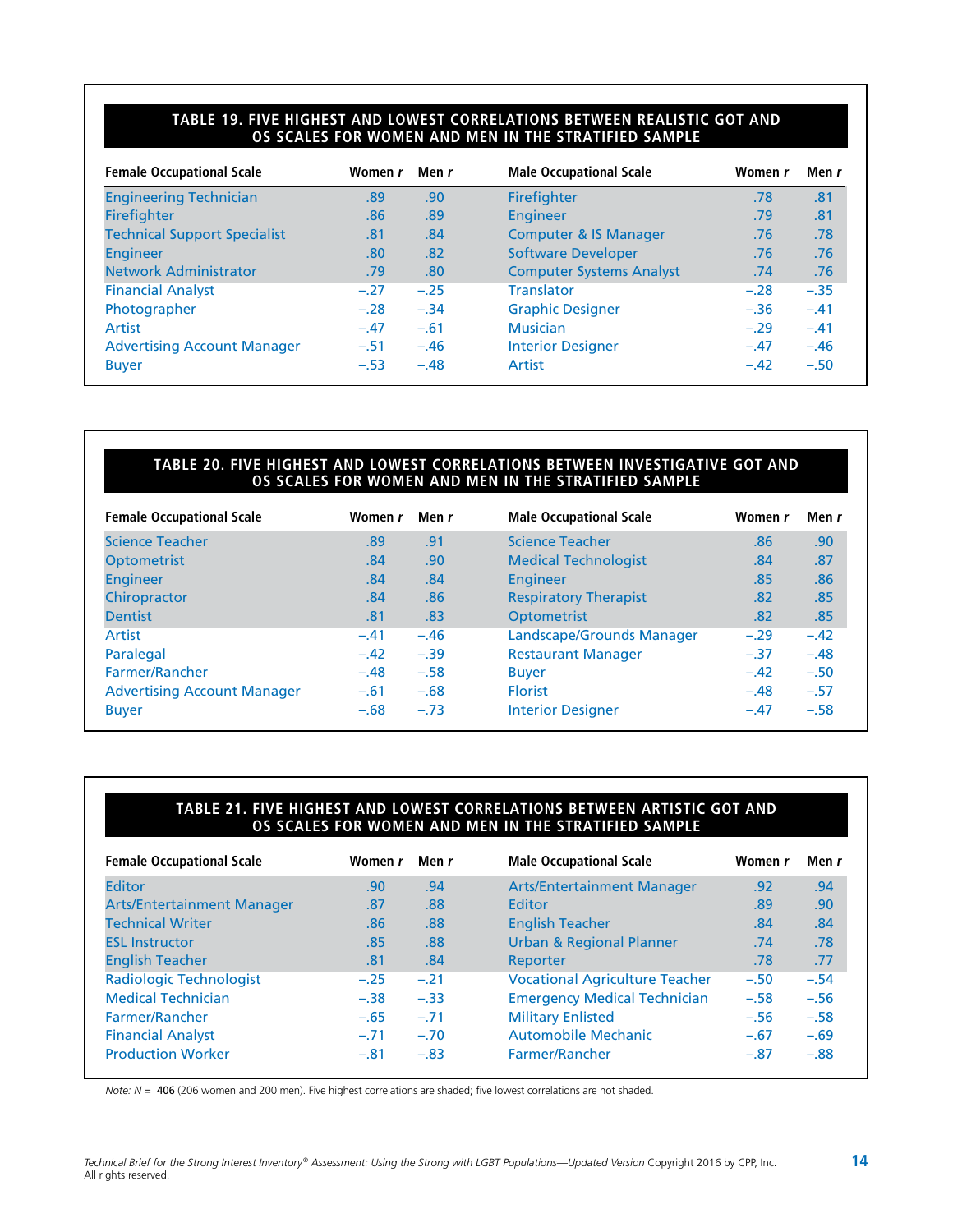#### **TABLE 19. FIVE HIGHEST AND LOWEST CORRELATIONS BETWEEN REALISTIC GOT AND OS SCALES FOR WOMEN AND MEN IN THE STRATIFIED SAMPLE**

| <b>Female Occupational Scale</b>    | Women r | Men r            | <b>Male Occupational Scale</b>   | Women r | Men r  |
|-------------------------------------|---------|------------------|----------------------------------|---------|--------|
| <b>Engineering Technician</b>       | .89     | .90              | Firefighter                      | .78     | .81    |
| <b>Firefighter</b>                  | .86     | .89              | <b>Engineer</b>                  | .79     | .81    |
| <b>Technical Support Specialist</b> | .81     | .84              | <b>Computer &amp; IS Manager</b> | .76     | .78    |
| <b>Engineer</b>                     | .80     | .82              | <b>Software Developer</b>        | .76     | .76    |
| <b>Network Administrator</b>        | .79     | .80 <sub>1</sub> | <b>Computer Systems Analyst</b>  | .74     | .76    |
| <b>Financial Analyst</b>            | $-.27$  | $-.25$           | <b>Translator</b>                | $-.28$  | $-.35$ |
| Photographer                        | $-.28$  | $-.34$           | <b>Graphic Designer</b>          | $-.36$  | $-.41$ |
| Artist                              | $-.47$  | $-.61$           | <b>Musician</b>                  | $-.29$  | $-.41$ |
| <b>Advertising Account Manager</b>  | $-.51$  | $-.46$           | <b>Interior Designer</b>         | $-.47$  | $-.46$ |
| <b>Buyer</b>                        | $-.53$  | $-.48$           | Artist                           | $-.42$  | $-.50$ |

#### **TABLE 20. FIVE HIGHEST AND LOWEST CORRELATIONS BETWEEN INVESTIGATIVE GOT AND OS SCALES FOR WOMEN AND MEN IN THE STRATIFIED SAMPLE**

| <b>Female Occupational Scale</b>   | Women r | Men r  | <b>Male Occupational Scale</b> | Women r | Men r  |
|------------------------------------|---------|--------|--------------------------------|---------|--------|
| <b>Science Teacher</b>             | .89     | .91    | <b>Science Teacher</b>         | .86     | .90    |
| <b>Optometrist</b>                 | .84     | .90    | <b>Medical Technologist</b>    | .84     | .87    |
| <b>Engineer</b>                    | .84     | .84    | Engineer                       | .85     | .86    |
| Chiropractor                       | .84     | .86    | <b>Respiratory Therapist</b>   | .82     | .85    |
| <b>Dentist</b>                     | .81     | .83    | Optometrist                    | .82     | .85    |
| Artist                             | $-.41$  | $-.46$ | Landscape/Grounds Manager      | $-.29$  | $-.42$ |
| Paralegal                          | $-.42$  | $-.39$ | <b>Restaurant Manager</b>      | $-.37$  | $-.48$ |
| Farmer/Rancher                     | $-.48$  | $-.58$ | <b>Buyer</b>                   | $-.42$  | $-.50$ |
| <b>Advertising Account Manager</b> | $-.61$  | $-.68$ | <b>Florist</b>                 | $-.48$  | $-.57$ |
| <b>Buyer</b>                       | $-.68$  | $-.73$ | <b>Interior Designer</b>       | $-.47$  | $-.58$ |

#### **TABLE 21. FIVE HIGHEST AND LOWEST CORRELATIONS BETWEEN ARTISTIC GOT AND OS SCALES FOR WOMEN AND MEN IN THE STRATIFIED SAMPLE**

| <b>Female Occupational Scale</b>  | Women r | Men r  | <b>Male Occupational Scale</b>        | Women r | Men r  |
|-----------------------------------|---------|--------|---------------------------------------|---------|--------|
| <b>Editor</b>                     | .90     | .94    | <b>Arts/Entertainment Manager</b>     | .92     | .94    |
| <b>Arts/Entertainment Manager</b> | .87     | .88    | Editor                                | .89     | .90    |
| <b>Technical Writer</b>           | .86     | .88    | <b>English Teacher</b>                | .84     | .84    |
| <b>ESL Instructor</b>             | .85     | .88    | <b>Urban &amp; Regional Planner</b>   | .74     | .78    |
| <b>English Teacher</b>            | .81     | .84    | Reporter                              | .78     | .77    |
| <b>Radiologic Technologist</b>    | $-.25$  | $-.21$ | <b>Vocational Agriculture Teacher</b> | $-.50$  | $-.54$ |
| <b>Medical Technician</b>         | $-.38$  | $-.33$ | <b>Emergency Medical Technician</b>   | $-.58$  | $-.56$ |
| Farmer/Rancher                    | $-.65$  | $-.71$ | <b>Military Enlisted</b>              | $-.56$  | $-.58$ |
| <b>Financial Analyst</b>          | $-.71$  | $-.70$ | <b>Automobile Mechanic</b>            | $-.67$  | $-.69$ |
| <b>Production Worker</b>          | $-.81$  | $-.83$ | Farmer/Rancher                        | $-.87$  | $-.88$ |

*Note: N* = 406 (206 women and 200 men). Five highest correlations are shaded; five lowest correlations are not shaded.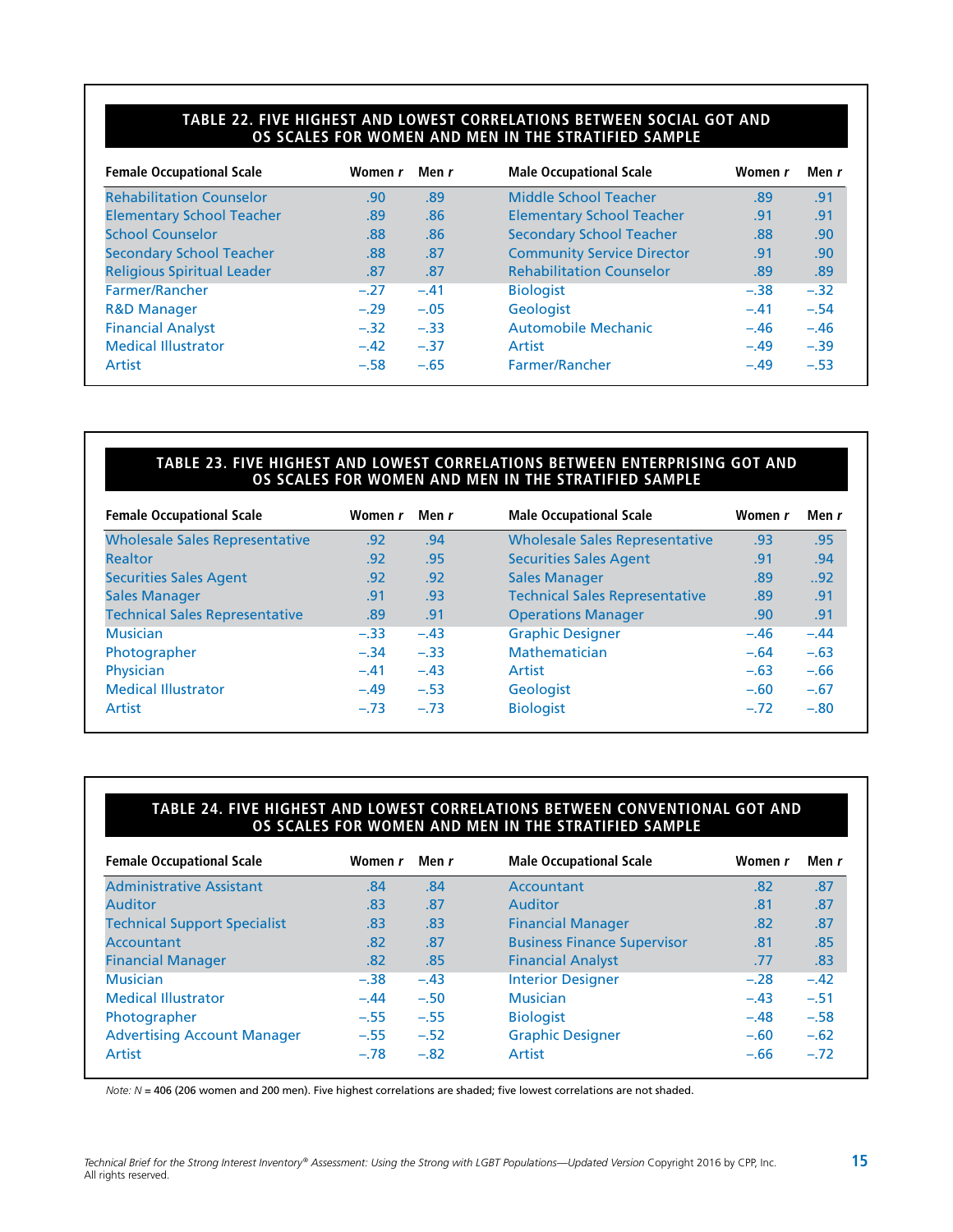#### **TABLE 22. FIVE HIGHEST AND LOWEST CORRELATIONS BETWEEN SOCIAL GOT AND OS SCALES FOR WOMEN AND MEN IN THE STRATIFIED SAMPLE**

| <b>Female Occupational Scale</b>  | Women r | Men r  | <b>Male Occupational Scale</b>    | Women r | Men r  |
|-----------------------------------|---------|--------|-----------------------------------|---------|--------|
| <b>Rehabilitation Counselor</b>   | .90     | .89    | Middle School Teacher             | .89     | .91    |
| <b>Elementary School Teacher</b>  | .89     | .86    | <b>Elementary School Teacher</b>  | .91     | .91    |
| <b>School Counselor</b>           | .88     | .86    | <b>Secondary School Teacher</b>   | .88     | .90    |
| <b>Secondary School Teacher</b>   | .88     | .87    | <b>Community Service Director</b> | .91     | .90    |
| <b>Religious Spiritual Leader</b> | .87     | .87    | <b>Rehabilitation Counselor</b>   | .89     | .89    |
| Farmer/Rancher                    | $-.27$  | $-.41$ | <b>Biologist</b>                  | $-.38$  | $-.32$ |
| <b>R&amp;D Manager</b>            | $-.29$  | $-.05$ | Geologist                         | $-.41$  | $-.54$ |
| <b>Financial Analyst</b>          | $-.32$  | $-.33$ | <b>Automobile Mechanic</b>        | $-.46$  | $-.46$ |
| <b>Medical Illustrator</b>        | $-.42$  | $-.37$ | Artist                            | $-.49$  | $-.39$ |
| Artist                            | $-.58$  | $-.65$ | Farmer/Rancher                    | $-.49$  | $-.53$ |

#### **TABLE 23. FIVE HIGHEST AND LOWEST CORRELATIONS BETWEEN ENTERPRISING GOT AND OS SCALES FOR WOMEN AND MEN IN THE STRATIFIED SAMPLE**

| <b>Female Occupational Scale</b>      | Women r | Men r  | <b>Male Occupational Scale</b>        | Women r | Men r  |
|---------------------------------------|---------|--------|---------------------------------------|---------|--------|
| <b>Wholesale Sales Representative</b> | .92     | .94    | <b>Wholesale Sales Representative</b> | .93     | .95    |
| <b>Realtor</b>                        | .92     | .95    | <b>Securities Sales Agent</b>         | .91     | .94    |
| <b>Securities Sales Agent</b>         | .92     | .92    | <b>Sales Manager</b>                  | .89     | .92    |
| <b>Sales Manager</b>                  | .91     | .93    | <b>Technical Sales Representative</b> | .89     | .91    |
| <b>Technical Sales Representative</b> | .89     | .91    | <b>Operations Manager</b>             | .90     | .91    |
| <b>Musician</b>                       | $-.33$  | $-.43$ | <b>Graphic Designer</b>               | $-.46$  | $-.44$ |
| Photographer                          | $-.34$  | $-.33$ | Mathematician                         | $-.64$  | $-.63$ |
| Physician                             | $-.41$  | $-.43$ | Artist                                | $-.63$  | $-.66$ |
| <b>Medical Illustrator</b>            | $-.49$  | $-.53$ | Geologist                             | $-.60$  | $-.67$ |
| Artist                                | $-.73$  | $-.73$ | <b>Biologist</b>                      | $-.72$  | $-.80$ |
|                                       |         |        |                                       |         |        |

#### **TABLE 24. FIVE HIGHEST AND LOWEST CORRELATIONS BETWEEN CONVENTIONAL GOT AND OS SCALES FOR WOMEN AND MEN IN THE STRATIFIED SAMPLE**

| Women r | Men r  | <b>Male Occupational Scale</b>     | Women r | Men r  |
|---------|--------|------------------------------------|---------|--------|
| .84     | .84    | Accountant                         | .82     | .87    |
| .83     | .87    | <b>Auditor</b>                     | .81     | .87    |
| .83     | .83    | <b>Financial Manager</b>           | .82     | .87    |
| .82     | .87    | <b>Business Finance Supervisor</b> | .81     | .85    |
| .82     | .85    | <b>Financial Analyst</b>           | .77     | .83    |
| $-.38$  | $-.43$ | <b>Interior Designer</b>           | $-.28$  | $-.42$ |
| $-.44$  | $-.50$ | <b>Musician</b>                    | $-.43$  | $-.51$ |
| $-.55$  | $-.55$ | <b>Biologist</b>                   | $-.48$  | $-.58$ |
| $-.55$  | $-.52$ | <b>Graphic Designer</b>            | $-.60$  | $-.62$ |
| $-.78$  | $-.82$ | Artist                             | $-.66$  | $-.72$ |
|         |        |                                    |         |        |

*Note: N* = 406 (206 women and 200 men). Five highest correlations are shaded; five lowest correlations are not shaded.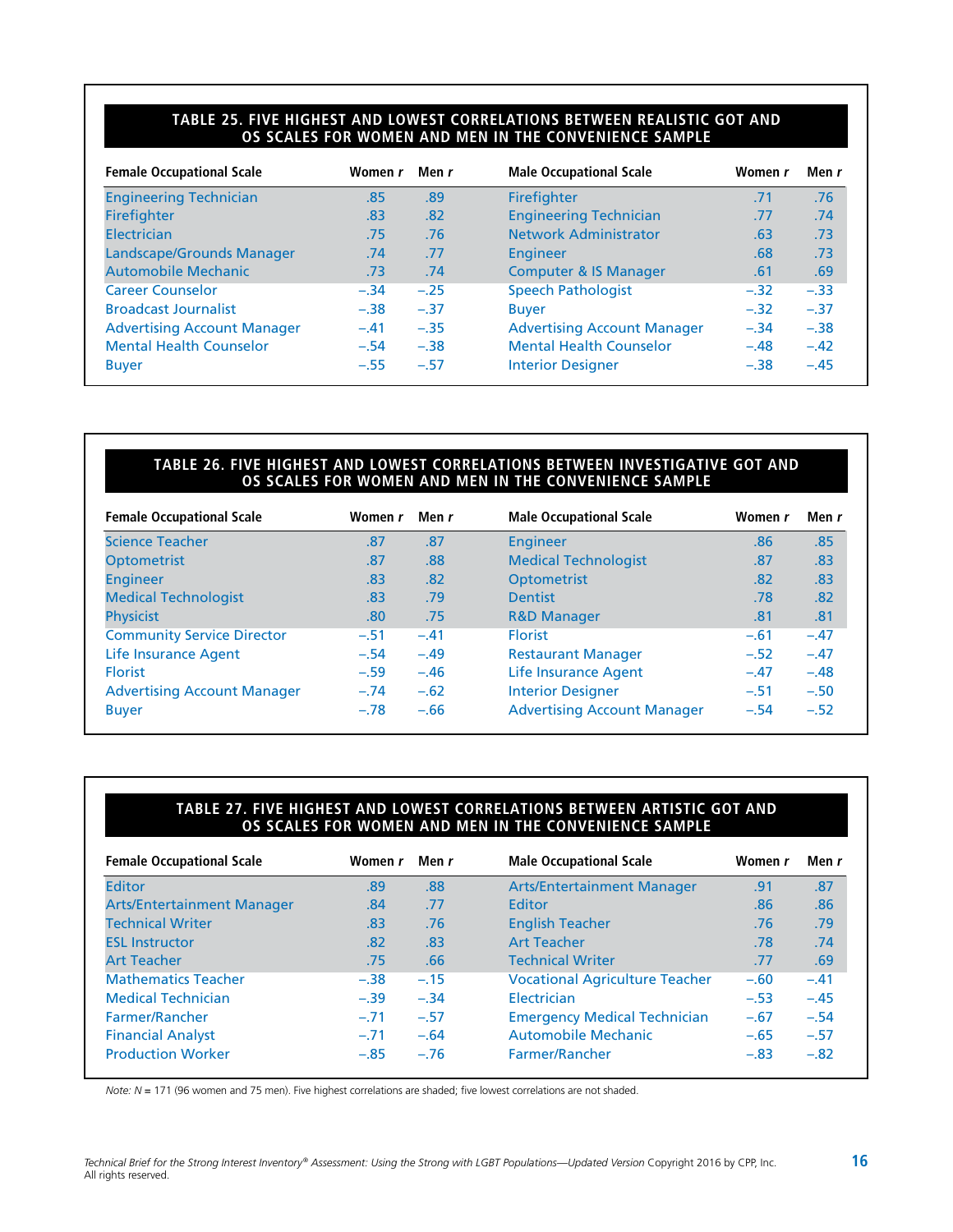#### **TABLE 25. FIVE HIGHEST AND LOWEST CORRELATIONS BETWEEN REALISTIC GOT AND OS SCALES FOR WOMEN AND MEN IN THE CONVENIENCE SAMPLE**

| <b>Female Occupational Scale</b>   | Women r | Men r  | <b>Male Occupational Scale</b>     | Women r | Men r  |
|------------------------------------|---------|--------|------------------------------------|---------|--------|
| <b>Engineering Technician</b>      | .85     | .89    | Firefighter                        | .71     | .76    |
| <b>Firefighter</b>                 | .83     | .82    | <b>Engineering Technician</b>      | .77     | .74    |
| Electrician                        | .75     | .76    | Network Administrator              | .63     | .73    |
| Landscape/Grounds Manager          | .74     | .77    | Engineer                           | .68     | .73    |
| <b>Automobile Mechanic</b>         | .73     | .74    | <b>Computer &amp; IS Manager</b>   | .61     | .69    |
| <b>Career Counselor</b>            | $-.34$  | $-.25$ | <b>Speech Pathologist</b>          | $-.32$  | $-.33$ |
| <b>Broadcast Journalist</b>        | $-.38$  | $-.37$ | <b>Buyer</b>                       | $-.32$  | $-.37$ |
| <b>Advertising Account Manager</b> | $-.41$  | $-.35$ | <b>Advertising Account Manager</b> | $-.34$  | $-.38$ |
| <b>Mental Health Counselor</b>     | $-.54$  | $-.38$ | <b>Mental Health Counselor</b>     | $-.48$  | $-.42$ |
| <b>Buyer</b>                       | $-.55$  | $-.57$ | <b>Interior Designer</b>           | $-.38$  | $-.45$ |

#### **TABLE 26. FIVE HIGHEST AND LOWEST CORRELATIONS BETWEEN INVESTIGATIVE GOT AND OS SCALES FOR WOMEN AND MEN IN THE CONVENIENCE SAMPLE**

| <b>Female Occupational Scale</b>   | Women r | Men r  | <b>Male Occupational Scale</b>     | Women r | Men r  |
|------------------------------------|---------|--------|------------------------------------|---------|--------|
| <b>Science Teacher</b>             | .87     | .87    | <b>Engineer</b>                    | .86     | .85    |
| <b>Optometrist</b>                 | .87     | .88    | <b>Medical Technologist</b>        | .87     | .83    |
| <b>Engineer</b>                    | .83     | .82    | <b>Optometrist</b>                 | .82     | .83    |
| <b>Medical Technologist</b>        | .83     | .79    | <b>Dentist</b>                     | .78     | .82    |
| <b>Physicist</b>                   | .80     | .75    | <b>R&amp;D Manager</b>             | .81     | .81    |
| <b>Community Service Director</b>  | $-.51$  | $-.41$ | <b>Florist</b>                     | $-.61$  | $-.47$ |
| Life Insurance Agent               | $-.54$  | $-.49$ | <b>Restaurant Manager</b>          | $-.52$  | $-.47$ |
| <b>Florist</b>                     | $-.59$  | $-.46$ | Life Insurance Agent               | $-.47$  | $-.48$ |
| <b>Advertising Account Manager</b> | $-.74$  | $-.62$ | <b>Interior Designer</b>           | $-.51$  | $-.50$ |
| <b>Buyer</b>                       | $-.78$  | $-.66$ | <b>Advertising Account Manager</b> | $-.54$  | $-.52$ |

#### **TABLE 27. FIVE HIGHEST AND LOWEST CORRELATIONS BETWEEN ARTISTIC GOT AND OS SCALES FOR WOMEN AND MEN IN THE CONVENIENCE SAMPLE**

| .88<br>.77<br>.76 | Arts/Entertainment Manager<br>Editor  | .91<br>.86 | .87<br>.86 |
|-------------------|---------------------------------------|------------|------------|
|                   |                                       |            |            |
|                   |                                       |            |            |
|                   | <b>English Teacher</b>                | .76        | .79        |
| .83               | <b>Art Teacher</b>                    | .78        | .74        |
| .66               | <b>Technical Writer</b>               | .77        | .69        |
| $-.15$            | <b>Vocational Agriculture Teacher</b> | $-.60$     | $-.41$     |
| $-.34$            | Electrician                           | $-.53$     | $-.45$     |
| $-.57$            | <b>Emergency Medical Technician</b>   | $-.67$     | $-.54$     |
| $-.64$            | <b>Automobile Mechanic</b>            | $-.65$     | $-.57$     |
| $-.76$            | Farmer/Rancher                        | $-.83$     | $-.82$     |
|                   |                                       |            |            |

*Note: N* = 171 (96 women and 75 men). Five highest correlations are shaded; five lowest correlations are not shaded.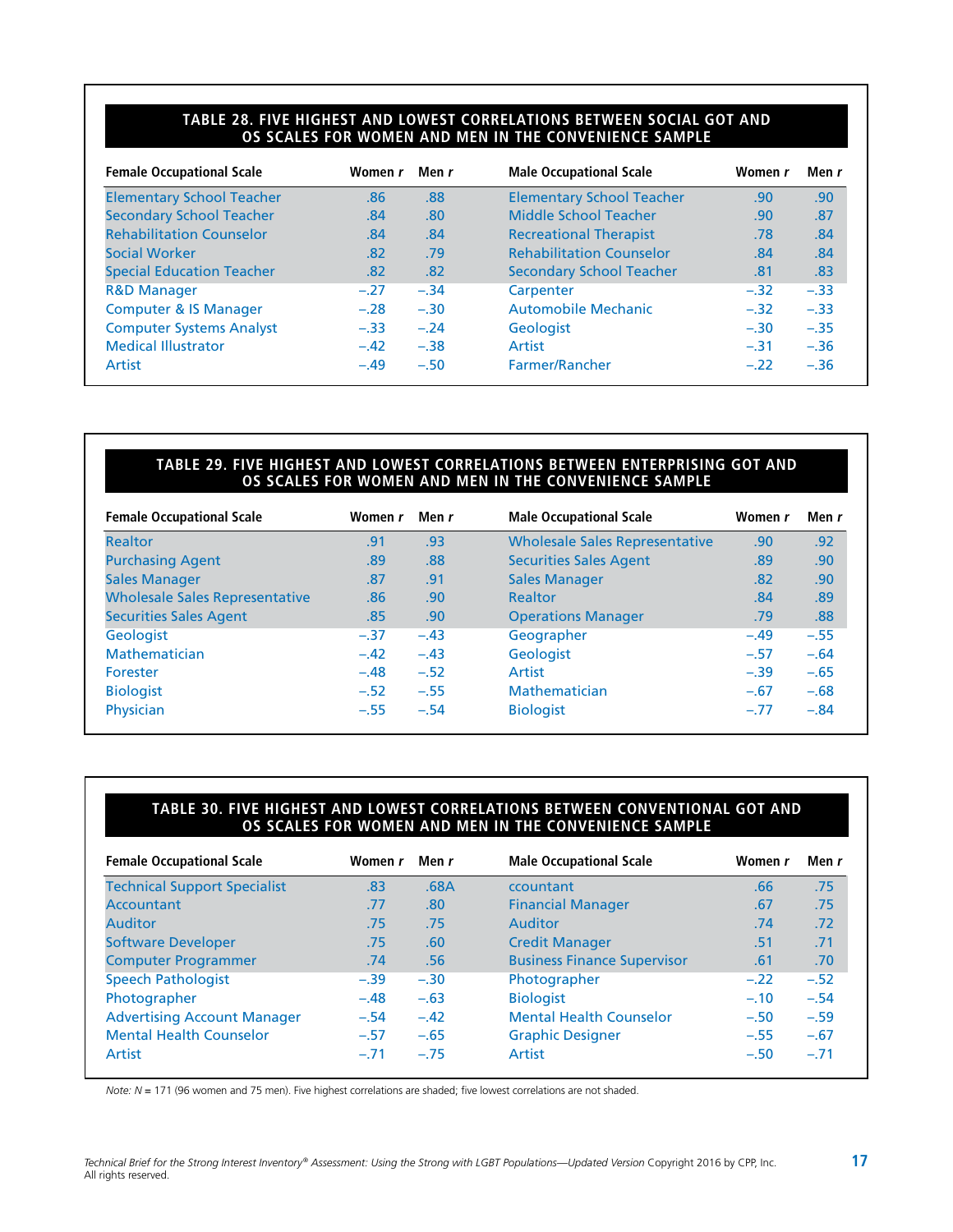#### **TABLE 28. FIVE HIGHEST AND LOWEST CORRELATIONS BETWEEN SOCIAL GOT AND OS SCALES FOR WOMEN AND MEN IN THE CONVENIENCE SAMPLE**

| <b>Female Occupational Scale</b> | Women r | Men r  | <b>Male Occupational Scale</b>   | Women r | Men r  |
|----------------------------------|---------|--------|----------------------------------|---------|--------|
| <b>Elementary School Teacher</b> | .86     | .88    | <b>Elementary School Teacher</b> | .90     | .90    |
| <b>Secondary School Teacher</b>  | .84     | .80    | Middle School Teacher            | .90     | .87    |
| <b>Rehabilitation Counselor</b>  | .84     | .84    | <b>Recreational Therapist</b>    | .78     | .84    |
| Social Worker                    | .82     | .79    | <b>Rehabilitation Counselor</b>  | .84     | .84    |
| <b>Special Education Teacher</b> | .82     | .82    | <b>Secondary School Teacher</b>  | .81     | .83    |
| <b>R&amp;D Manager</b>           | $-.27$  | $-.34$ | Carpenter                        | $-.32$  | $-.33$ |
| <b>Computer &amp; IS Manager</b> | $-.28$  | $-.30$ | Automobile Mechanic              | $-.32$  | $-.33$ |
| <b>Computer Systems Analyst</b>  | $-.33$  | $-.24$ | <b>Geologist</b>                 | $-.30$  | $-.35$ |
| <b>Medical Illustrator</b>       | $-.42$  | $-.38$ | Artist                           | $-.31$  | $-.36$ |
| Artist                           | $-.49$  | $-.50$ | Farmer/Rancher                   | $-.22$  | $-.36$ |

#### **TABLE 29. FIVE HIGHEST AND LOWEST CORRELATIONS BETWEEN ENTERPRISING GOT AND OS SCALES FOR WOMEN AND MEN IN THE CONVENIENCE SAMPLE**

| <b>Female Occupational Scale</b>      | Women r | Men r  | <b>Male Occupational Scale</b>        | Women r | Men r  |
|---------------------------------------|---------|--------|---------------------------------------|---------|--------|
| <b>Realtor</b>                        | .91     | .93    | <b>Wholesale Sales Representative</b> | .90     | .92    |
| <b>Purchasing Agent</b>               | .89     | .88    | <b>Securities Sales Agent</b>         | .89     | .90    |
| <b>Sales Manager</b>                  | .87     | .91    | <b>Sales Manager</b>                  | .82     | .90    |
| <b>Wholesale Sales Representative</b> | .86     | .90    | <b>Realtor</b>                        | .84     | .89    |
| <b>Securities Sales Agent</b>         | .85     | .90    | <b>Operations Manager</b>             | .79     | .88    |
| <b>Geologist</b>                      | $-.37$  | $-.43$ | Geographer                            | $-.49$  | $-.55$ |
| Mathematician                         | $-.42$  | $-.43$ | <b>Geologist</b>                      | $-.57$  | $-.64$ |
| Forester                              | $-.48$  | $-.52$ | Artist                                | $-.39$  | $-.65$ |
| <b>Biologist</b>                      | $-.52$  | $-.55$ | Mathematician                         | $-.67$  | $-.68$ |
| <b>Physician</b>                      | $-.55$  | $-.54$ | <b>Biologist</b>                      | $-.77$  | $-.84$ |
|                                       |         |        |                                       |         |        |

#### **TABLE 30. FIVE HIGHEST AND LOWEST CORRELATIONS BETWEEN CONVENTIONAL GOT AND OS SCALES FOR WOMEN AND MEN IN THE CONVENIENCE SAMPLE**

| .83<br>.77<br>.75 | .68A<br>.80 <sub>1</sub>                                     | ccountant<br><b>Financial Manager</b> | .66    | .75    |
|-------------------|--------------------------------------------------------------|---------------------------------------|--------|--------|
|                   |                                                              |                                       |        |        |
|                   |                                                              |                                       | .67    | .75    |
|                   | .75                                                          | Auditor                               | .74    | .72    |
|                   | .60                                                          | <b>Credit Manager</b>                 | .51    | .71    |
|                   | .56                                                          | <b>Business Finance Supervisor</b>    | .61    | .70    |
|                   | $-.30$                                                       | Photographer                          | $-.22$ | $-.52$ |
|                   | $-.63$                                                       | <b>Biologist</b>                      | $-.10$ | $-.54$ |
|                   | $-.42$                                                       | <b>Mental Health Counselor</b>        | $-.50$ | $-.59$ |
|                   | $-.65$                                                       | <b>Graphic Designer</b>               | $-.55$ | $-.67$ |
|                   | $-.75$                                                       | Artist                                | $-.50$ | $-.71$ |
|                   | .75<br>.74<br>$-.39$<br>$-.48$<br>$-.54$<br>$-.57$<br>$-.71$ |                                       |        |        |

*Note: N* = 171 (96 women and 75 men). Five highest correlations are shaded; five lowest correlations are not shaded.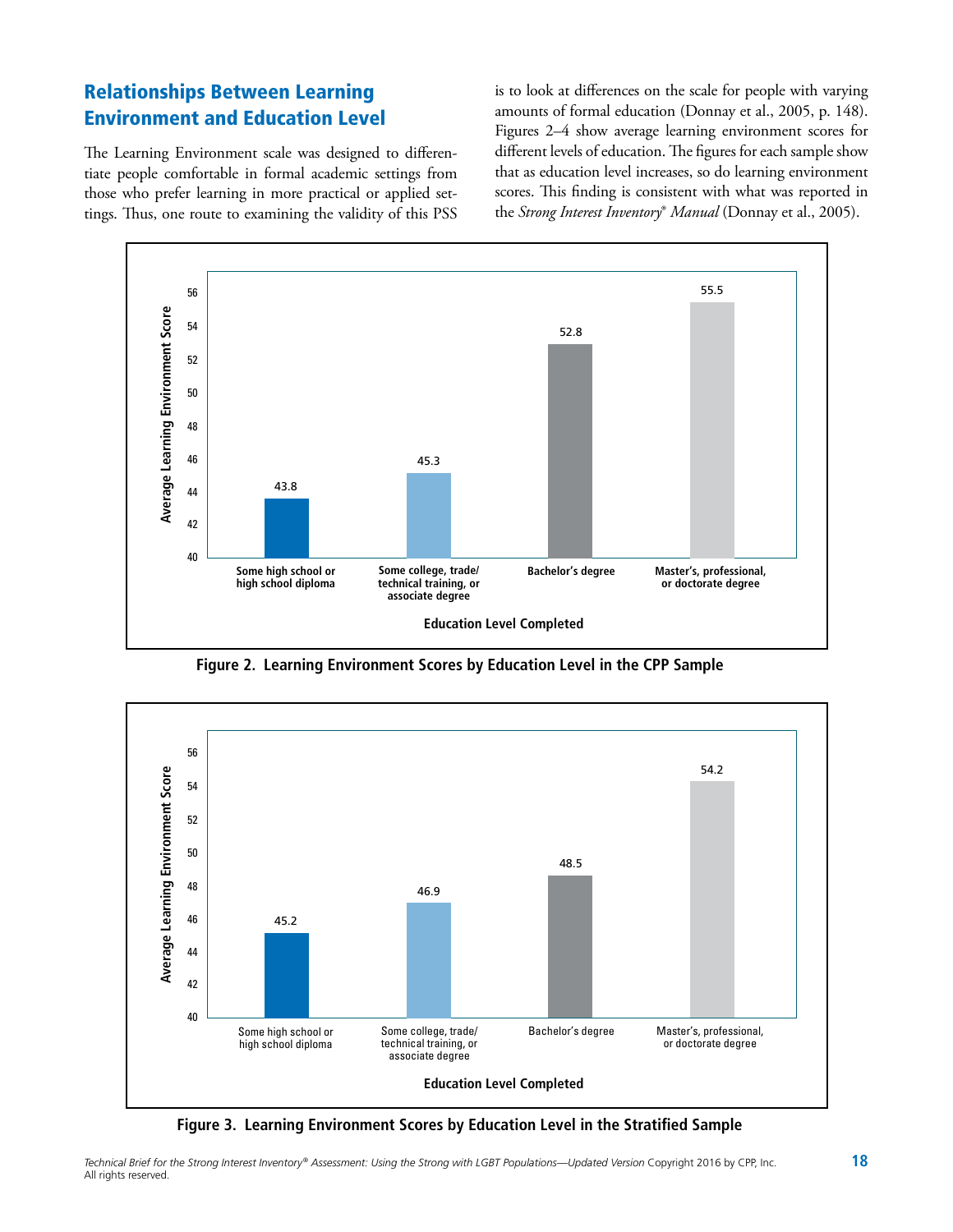# Relationships Between Learning Environment and Education Level

The Learning Environment scale was designed to differentiate people comfortable in formal academic settings from those who prefer learning in more practical or applied settings. Thus, one route to examining the validity of this PSS is to look at differences on the scale for people with varying amounts of formal education (Donnay et al., 2005, p. 148). Figures 2–4 show average learning environment scores for different levels of education. The figures for each sample show that as education level increases, so do learning environment scores. This finding is consistent with what was reported in the *Strong Interest Inventory*® *Manual* (Donnay et al., 2005).



**Figure 2. Learning Environment Scores by Education Level in the CPP Sample**



**Figure 3. Learning Environment Scores by Education Level in the Stratified Sample**